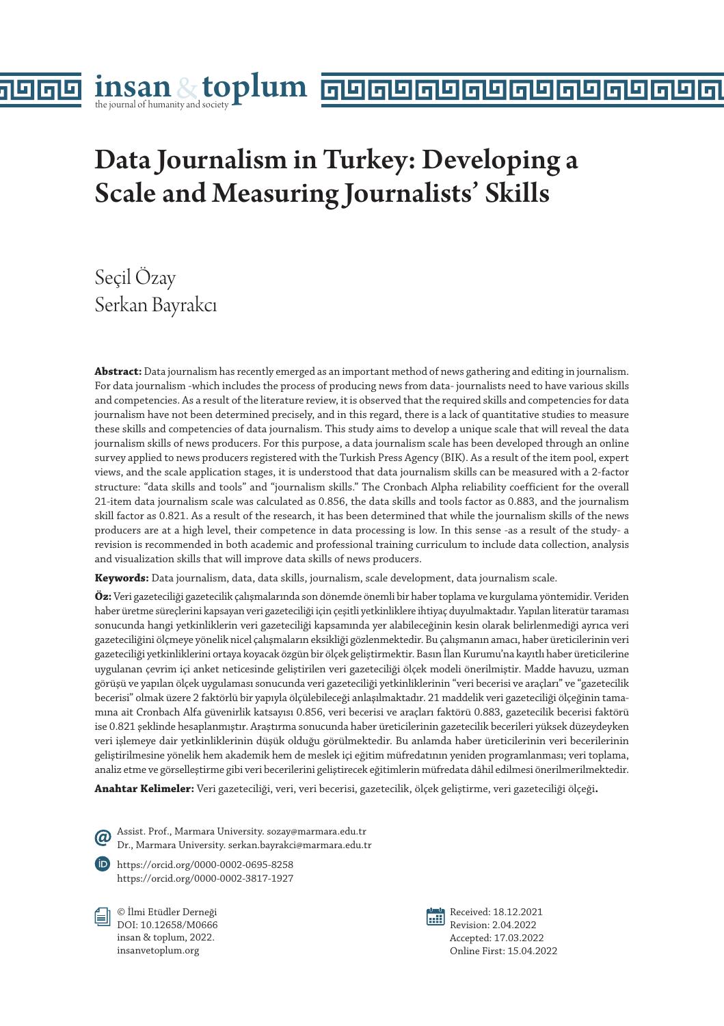# Data Journalism in Turkey: Developing a Scale and Measuring Journalists' Skills

# Seçil Özay Serkan Bayrakcı

la

**Abstract:** Data journalism has recently emerged as an important method of news gathering and editing in journalism. For data journalism -which includes the process of producing news from data- journalists need to have various skills and competencies. As a result of the literature review, it is observed that the required skills and competencies for data journalism have not been determined precisely, and in this regard, there is a lack of quantitative studies to measure these skills and competencies of data journalism. This study aims to develop a unique scale that will reveal the data journalism skills of news producers. For this purpose, a data journalism scale has been developed through an online survey applied to news producers registered with the Turkish Press Agency (BIK). As a result of the item pool, expert views, and the scale application stages, it is understood that data journalism skills can be measured with a 2-factor structure: "data skills and tools" and "journalism skills." The Cronbach Alpha reliability coefficient for the overall 21-item data journalism scale was calculated as 0.856, the data skills and tools factor as 0.883, and the journalism skill factor as 0.821. As a result of the research, it has been determined that while the journalism skills of the news producers are at a high level, their competence in data processing is low. In this sense -as a result of the study- a revision is recommended in both academic and professional training curriculum to include data collection, analysis and visualization skills that will improve data skills of news producers.

**Keywords:** Data journalism, data, data skills, journalism, scale development, data journalism scale.

**Öz:** Veri gazeteciliği gazetecilik çalışmalarında son dönemde önemli bir haber toplama ve kurgulama yöntemidir. Veriden haber üretme süreçlerini kapsayan veri gazeteciliği için çeşitli yetkinliklere ihtiyaç duyulmaktadır. Yapılan literatür taraması sonucunda hangi yetkinliklerin veri gazeteciliği kapsamında yer alabileceğinin kesin olarak belirlenmediği ayrıca veri gazeteciliğini ölçmeye yönelik nicel çalışmaların eksikliği gözlenmektedir. Bu çalışmanın amacı, haber üreticilerinin veri gazeteciliği yetkinliklerini ortaya koyacak özgün bir ölçek geliştirmektir. Basın İlan Kurumu'na kayıtlı haber üreticilerine uygulanan çevrim içi anket neticesinde geliştirilen veri gazeteciliği ölçek modeli önerilmiştir. Madde havuzu, uzman görüşü ve yapılan ölçek uygulaması sonucunda veri gazeteciliği yetkinliklerinin "veri becerisi ve araçları" ve "gazetecilik becerisi" olmak üzere 2 faktörlü bir yapıyla ölçülebileceği anlaşılmaktadır. 21 maddelik veri gazeteciliği ölçeğinin tamamına ait Cronbach Alfa güvenirlik katsayısı 0.856, veri becerisi ve araçları faktörü 0.883, gazetecilik becerisi faktörü ise 0.821 şeklinde hesaplanmıştır. Araştırma sonucunda haber üreticilerinin gazetecilik becerileri yüksek düzeydeyken veri işlemeye dair yetkinliklerinin düşük olduğu görülmektedir. Bu anlamda haber üreticilerinin veri becerilerinin geliştirilmesine yönelik hem akademik hem de meslek içi eğitim müfredatının yeniden programlanması; veri toplama, analiz etme ve görselleştirme gibi veri becerilerini geliştirecek eğitimlerin müfredata dâhil edilmesi önerilmerilmektedir.

**Anahtar Kelimeler:** Veri gazeteciliği, veri, veri becerisi, gazetecilik, ölçek geliştirme, veri gazeteciliği ölçeği**.** 

Assist. Prof., Marmara University. sozay@marmara.edu.tr Dr., Marmara University. serkan.bayrakci@marmara.edu.tr

https://orcid.org/0000-0002-0695-8258 https://orcid.org/0000-0002-3817-1927

© İlmi Etüdler Derneği DOI: 10.12658/M0666 insan & toplum, 2022. insanvetoplum.org



Received: 18.12.2021 Revision: 2.04.2022 Accepted: 17.03.2022 Online First: 15.04.2022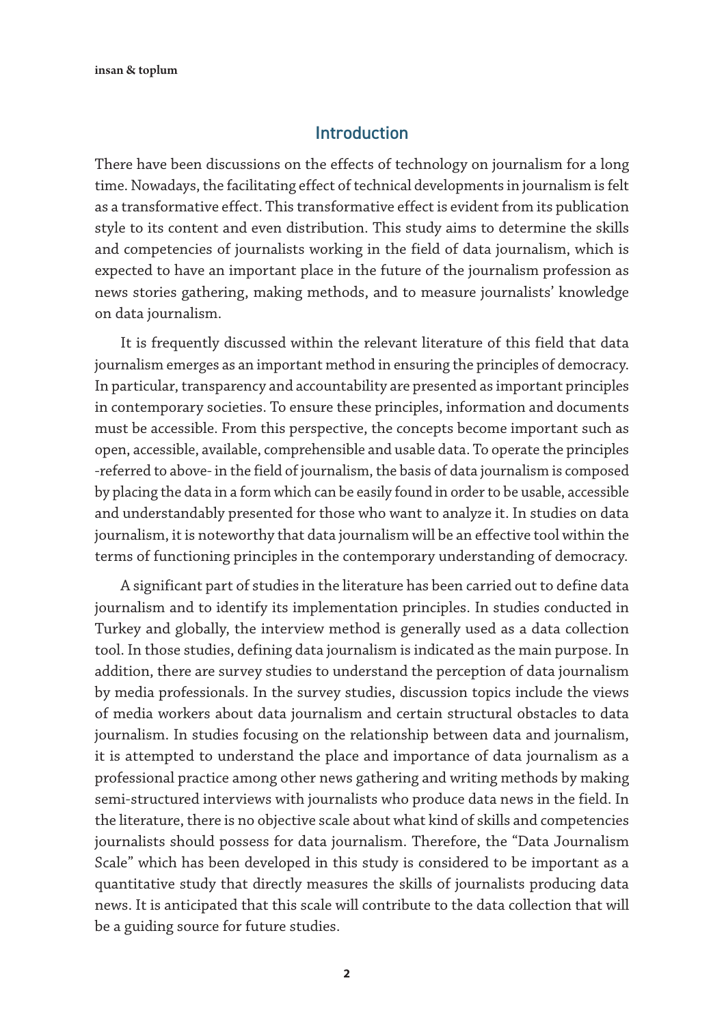#### Introduction

There have been discussions on the effects of technology on journalism for a long time. Nowadays, the facilitating effect of technical developments in journalism is felt as a transformative effect. This transformative effect is evident from its publication style to its content and even distribution. This study aims to determine the skills and competencies of journalists working in the field of data journalism, which is expected to have an important place in the future of the journalism profession as news stories gathering, making methods, and to measure journalists' knowledge on data journalism.

It is frequently discussed within the relevant literature of this field that data journalism emerges as an important method in ensuring the principles of democracy. In particular, transparency and accountability are presented as important principles in contemporary societies. To ensure these principles, information and documents must be accessible. From this perspective, the concepts become important such as open, accessible, available, comprehensible and usable data. To operate the principles -referred to above- in the field of journalism, the basis of data journalism is composed by placing the data in a form which can be easily found in order to be usable, accessible and understandably presented for those who want to analyze it. In studies on data journalism, it is noteworthy that data journalism will be an effective tool within the terms of functioning principles in the contemporary understanding of democracy.

A significant part of studies in the literature has been carried out to define data journalism and to identify its implementation principles. In studies conducted in Turkey and globally, the interview method is generally used as a data collection tool. In those studies, defining data journalism is indicated as the main purpose. In addition, there are survey studies to understand the perception of data journalism by media professionals. In the survey studies, discussion topics include the views of media workers about data journalism and certain structural obstacles to data journalism. In studies focusing on the relationship between data and journalism, it is attempted to understand the place and importance of data journalism as a professional practice among other news gathering and writing methods by making semi-structured interviews with journalists who produce data news in the field. In the literature, there is no objective scale about what kind of skills and competencies journalists should possess for data journalism. Therefore, the "Data Journalism Scale" which has been developed in this study is considered to be important as a quantitative study that directly measures the skills of journalists producing data news. It is anticipated that this scale will contribute to the data collection that will be a guiding source for future studies.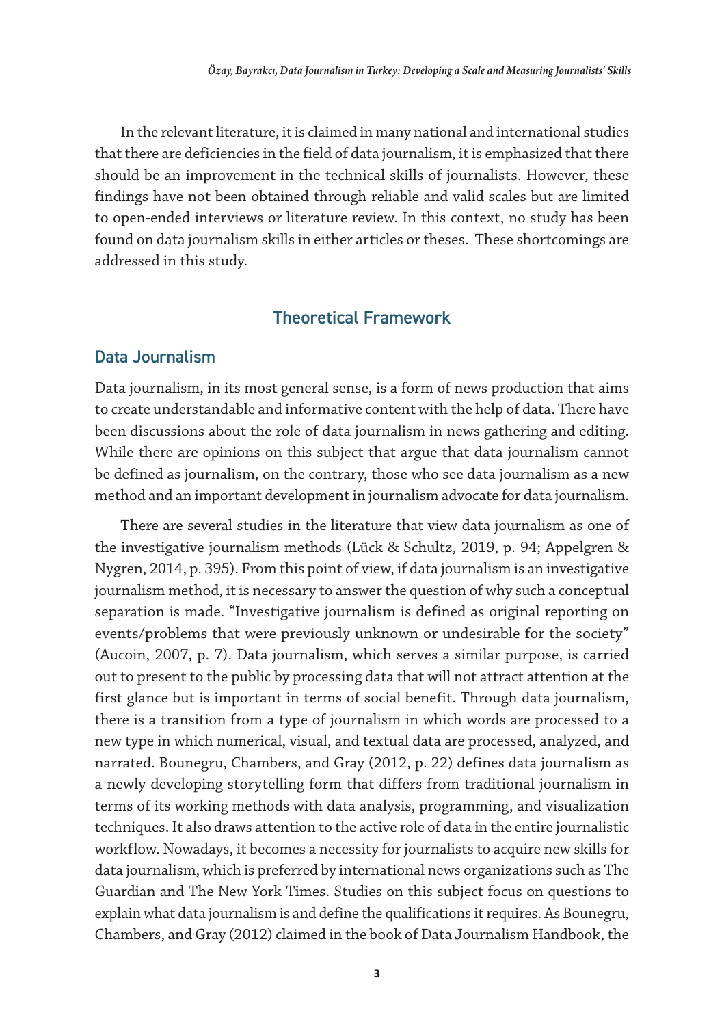In the relevant literature, it is claimed in many national and international studies that there are deficiencies in the field of data journalism, it is emphasized that there should be an improvement in the technical skills of journalists. However, these findings have not been obtained through reliable and valid scales but are limited to open-ended interviews or literature review. In this context, no study has been found on data journalism skills in either articles or theses. These shortcomings are addressed in this study.

#### Theoretical Framework

#### Data Journalism

Data journalism, in its most general sense, is a form of news production that aims to create understandable and informative content with the help of data. There have been discussions about the role of data journalism in news gathering and editing. While there are opinions on this subject that argue that data journalism cannot be defined as journalism, on the contrary, those who see data journalism as a new method and an important development in journalism advocate for data journalism.

There are several studies in the literature that view data journalism as one of the investigative journalism methods (Lück & Schultz, 2019, p. 94; Appelgren & Nygren, 2014, p. 395). From this point of view, if data journalism is an investigative journalism method, it is necessary to answer the question of why such a conceptual separation is made. "Investigative journalism is defined as original reporting on events/problems that were previously unknown or undesirable for the society" (Aucoin, 2007, p. 7). Data journalism, which serves a similar purpose, is carried out to present to the public by processing data that will not attract attention at the first glance but is important in terms of social benefit. Through data journalism, there is a transition from a type of journalism in which words are processed to a new type in which numerical, visual, and textual data are processed, analyzed, and narrated. Bounegru, Chambers, and Gray (2012, p. 22) defines data journalism as a newly developing storytelling form that differs from traditional journalism in terms of its working methods with data analysis, programming, and visualization techniques. It also draws attention to the active role of data in the entire journalistic workflow. Nowadays, it becomes a necessity for journalists to acquire new skills for data journalism, which is preferred by international news organizations such as The Guardian and The New York Times. Studies on this subject focus on questions to explain what data journalism is and define the qualifications it requires. As Bounegru, Chambers, and Gray (2012) claimed in the book of Data Journalism Handbook, the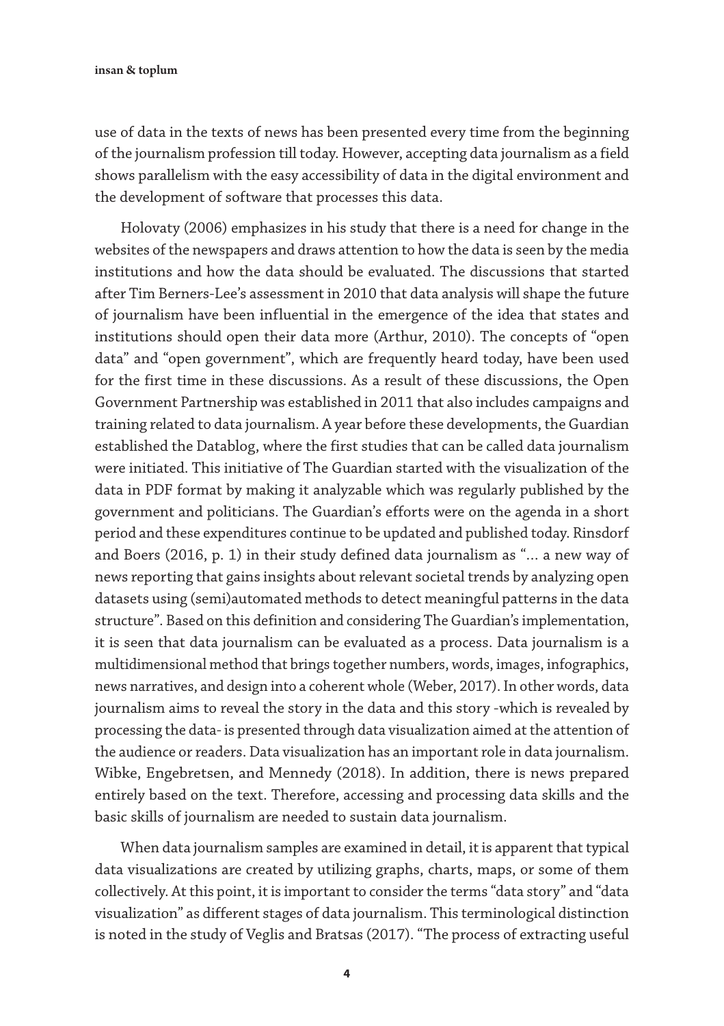use of data in the texts of news has been presented every time from the beginning of the journalism profession till today. However, accepting data journalism as a field shows parallelism with the easy accessibility of data in the digital environment and the development of software that processes this data.

Holovaty (2006) emphasizes in his study that there is a need for change in the websites of the newspapers and draws attention to how the data is seen by the media institutions and how the data should be evaluated. The discussions that started after Tim Berners-Lee's assessment in 2010 that data analysis will shape the future of journalism have been influential in the emergence of the idea that states and institutions should open their data more (Arthur, 2010). The concepts of "open data" and "open government", which are frequently heard today, have been used for the first time in these discussions. As a result of these discussions, the Open Government Partnership was established in 2011 that also includes campaigns and training related to data journalism. A year before these developments, the Guardian established the Datablog, where the first studies that can be called data journalism were initiated. This initiative of The Guardian started with the visualization of the data in PDF format by making it analyzable which was regularly published by the government and politicians. The Guardian's efforts were on the agenda in a short period and these expenditures continue to be updated and published today. Rinsdorf and Boers (2016, p. 1) in their study defined data journalism as "… a new way of news reporting that gains insights about relevant societal trends by analyzing open datasets using (semi)automated methods to detect meaningful patterns in the data structure". Based on this definition and considering The Guardian's implementation, it is seen that data journalism can be evaluated as a process. Data journalism is a multidimensional method that brings together numbers, words, images, infographics, news narratives, and design into a coherent whole (Weber, 2017). In other words, data journalism aims to reveal the story in the data and this story -which is revealed by processing the data- is presented through data visualization aimed at the attention of the audience or readers. Data visualization has an important role in data journalism. Wibke, Engebretsen, and Mennedy (2018). In addition, there is news prepared entirely based on the text. Therefore, accessing and processing data skills and the basic skills of journalism are needed to sustain data journalism.

When data journalism samples are examined in detail, it is apparent that typical data visualizations are created by utilizing graphs, charts, maps, or some of them collectively. At this point, it is important to consider the terms "data story" and "data visualization" as different stages of data journalism. This terminological distinction is noted in the study of Veglis and Bratsas (2017). "The process of extracting useful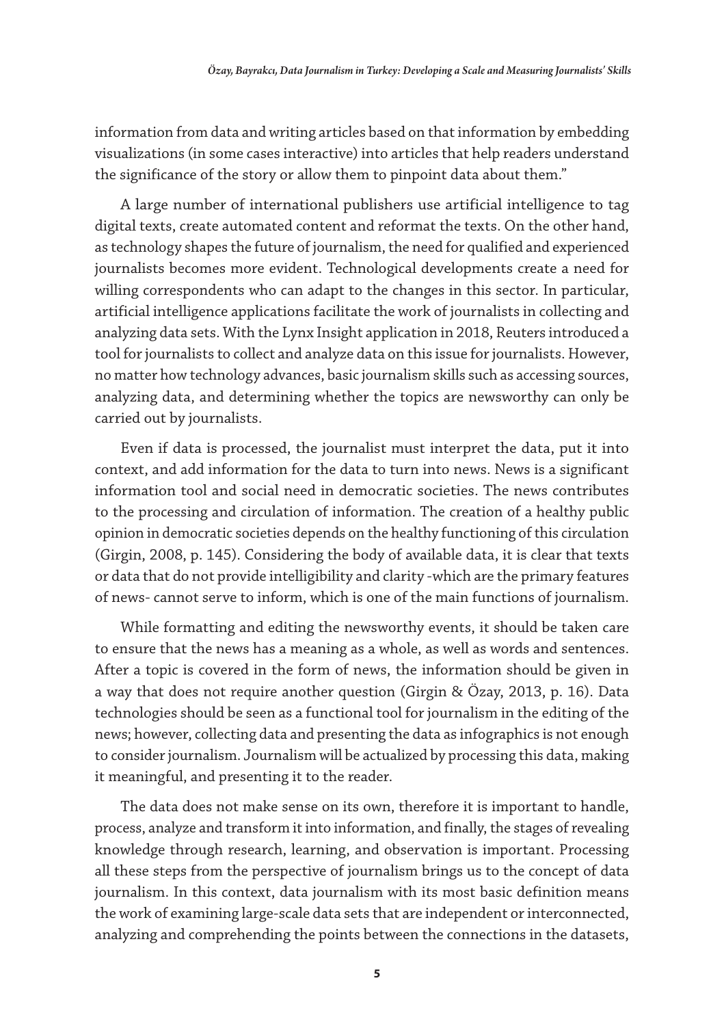information from data and writing articles based on that information by embedding visualizations (in some cases interactive) into articles that help readers understand the significance of the story or allow them to pinpoint data about them."

A large number of international publishers use artificial intelligence to tag digital texts, create automated content and reformat the texts. On the other hand, as technology shapes the future of journalism, the need for qualified and experienced journalists becomes more evident. Technological developments create a need for willing correspondents who can adapt to the changes in this sector. In particular, artificial intelligence applications facilitate the work of journalists in collecting and analyzing data sets. With the Lynx Insight application in 2018, Reuters introduced a tool for journalists to collect and analyze data on this issue for journalists. However, no matter how technology advances, basic journalism skills such as accessing sources, analyzing data, and determining whether the topics are newsworthy can only be carried out by journalists.

Even if data is processed, the journalist must interpret the data, put it into context, and add information for the data to turn into news. News is a significant information tool and social need in democratic societies. The news contributes to the processing and circulation of information. The creation of a healthy public opinion in democratic societies depends on the healthy functioning of this circulation (Girgin, 2008, p. 145). Considering the body of available data, it is clear that texts or data that do not provide intelligibility and clarity -which are the primary features of news- cannot serve to inform, which is one of the main functions of journalism.

While formatting and editing the newsworthy events, it should be taken care to ensure that the news has a meaning as a whole, as well as words and sentences. After a topic is covered in the form of news, the information should be given in a way that does not require another question (Girgin & Özay, 2013, p. 16). Data technologies should be seen as a functional tool for journalism in the editing of the news; however, collecting data and presenting the data as infographics is not enough to consider journalism. Journalism will be actualized by processing this data, making it meaningful, and presenting it to the reader.

The data does not make sense on its own, therefore it is important to handle, process, analyze and transform it into information, and finally, the stages of revealing knowledge through research, learning, and observation is important. Processing all these steps from the perspective of journalism brings us to the concept of data journalism. In this context, data journalism with its most basic definition means the work of examining large-scale data sets that are independent or interconnected, analyzing and comprehending the points between the connections in the datasets,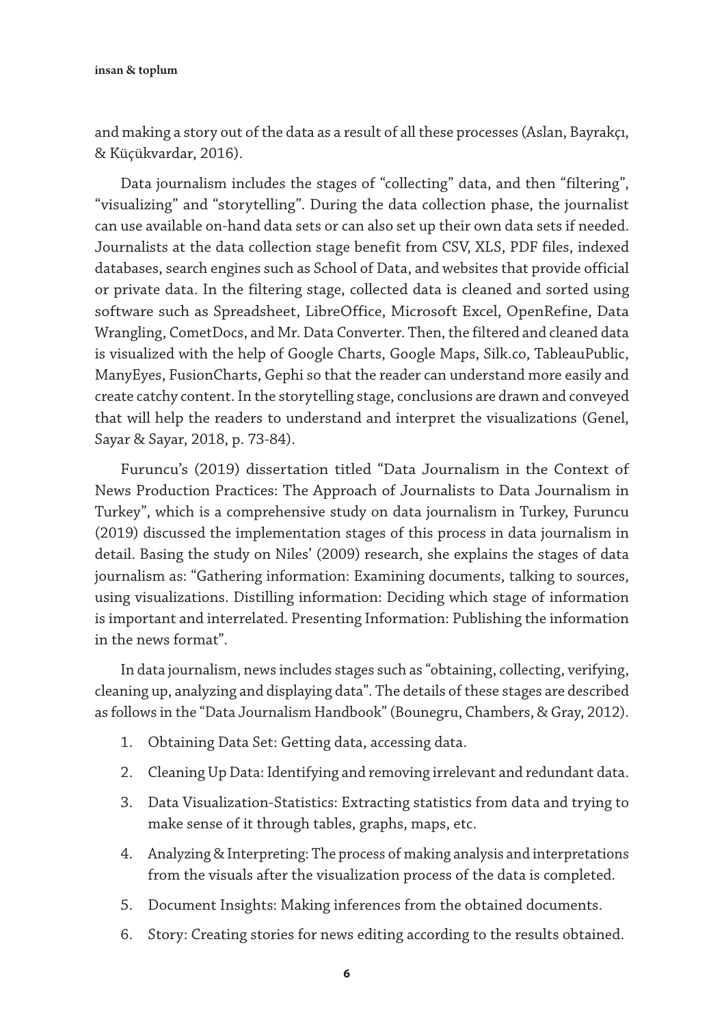and making a story out of the data as a result of all these processes (Aslan, Bayrakçı, & Küçükvardar, 2016).

Data journalism includes the stages of "collecting" data, and then "filtering", "visualizing" and "storytelling". During the data collection phase, the journalist can use available on-hand data sets or can also set up their own data sets if needed. Journalists at the data collection stage benefit from CSV, XLS, PDF files, indexed databases, search engines such as School of Data, and websites that provide official or private data. In the filtering stage, collected data is cleaned and sorted using software such as Spreadsheet, LibreOffice, Microsoft Excel, OpenRefine, Data Wrangling, CometDocs, and Mr. Data Converter. Then, the filtered and cleaned data is visualized with the help of Google Charts, Google Maps, Silk.co, TableauPublic, ManyEyes, FusionCharts, Gephi so that the reader can understand more easily and create catchy content. In the storytelling stage, conclusions are drawn and conveyed that will help the readers to understand and interpret the visualizations (Genel, Sayar & Sayar, 2018, p. 73-84).

Furuncu's (2019) dissertation titled "Data Journalism in the Context of News Production Practices: The Approach of Journalists to Data Journalism in Turkey", which is a comprehensive study on data journalism in Turkey, Furuncu (2019) discussed the implementation stages of this process in data journalism in detail. Basing the study on Niles' (2009) research, she explains the stages of data journalism as: "Gathering information: Examining documents, talking to sources, using visualizations. Distilling information: Deciding which stage of information is important and interrelated. Presenting Information: Publishing the information in the news format".

In data journalism, news includes stages such as "obtaining, collecting, verifying, cleaning up, analyzing and displaying data". The details of these stages are described as follows in the "Data Journalism Handbook" (Bounegru, Chambers, & Gray, 2012).

- 1. Obtaining Data Set: Getting data, accessing data.
- 2. Cleaning Up Data: Identifying and removing irrelevant and redundant data.
- 3. Data Visualization-Statistics: Extracting statistics from data and trying to make sense of it through tables, graphs, maps, etc.
- 4. Analyzing & Interpreting: The process of making analysis and interpretations from the visuals after the visualization process of the data is completed.
- 5. Document Insights: Making inferences from the obtained documents.
- 6. Story: Creating stories for news editing according to the results obtained.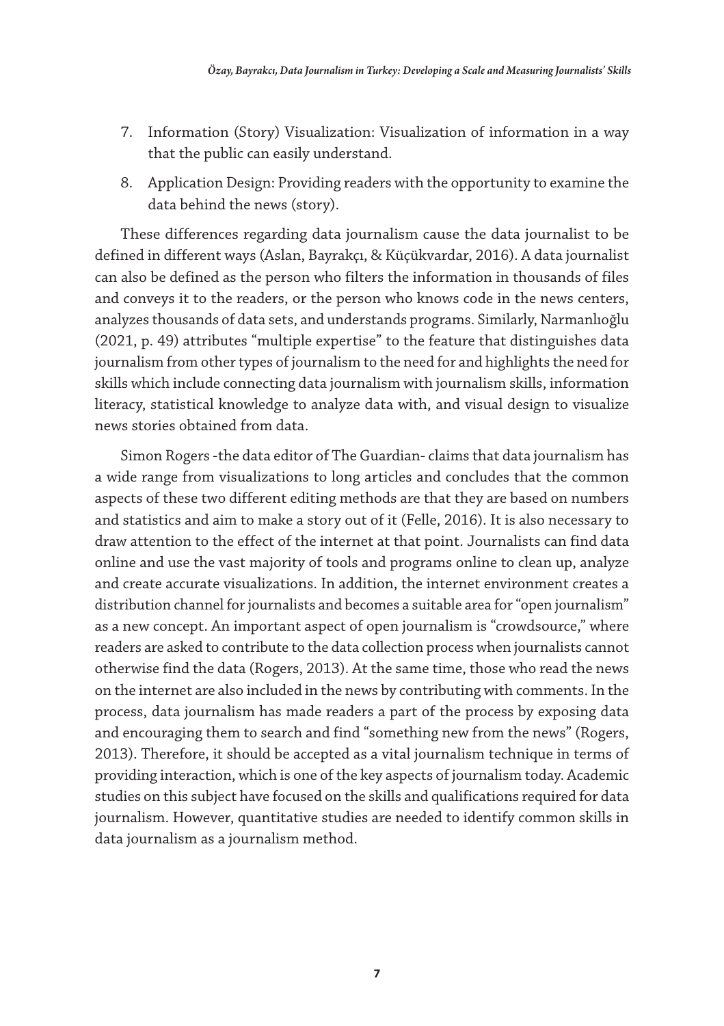- 7. Information (Story) Visualization: Visualization of information in a way that the public can easily understand.
- 8. Application Design: Providing readers with the opportunity to examine the data behind the news (story).

These differences regarding data journalism cause the data journalist to be defined in different ways (Aslan, Bayrakçı, & Küçükvardar, 2016). A data journalist can also be defined as the person who filters the information in thousands of files and conveys it to the readers, or the person who knows code in the news centers, analyzes thousands of data sets, and understands programs. Similarly, Narmanlıoğlu (2021, p. 49) attributes "multiple expertise" to the feature that distinguishes data journalism from other types of journalism to the need for and highlights the need for skills which include connecting data journalism with journalism skills, information literacy, statistical knowledge to analyze data with, and visual design to visualize news stories obtained from data.

Simon Rogers -the data editor of The Guardian- claims that data journalism has a wide range from visualizations to long articles and concludes that the common aspects of these two different editing methods are that they are based on numbers and statistics and aim to make a story out of it (Felle, 2016). It is also necessary to draw attention to the effect of the internet at that point. Journalists can find data online and use the vast majority of tools and programs online to clean up, analyze and create accurate visualizations. In addition, the internet environment creates a distribution channel for journalists and becomes a suitable area for "open journalism" as a new concept. An important aspect of open journalism is "crowdsource," where readers are asked to contribute to the data collection process when journalists cannot otherwise find the data (Rogers, 2013). At the same time, those who read the news on the internet are also included in the news by contributing with comments. In the process, data journalism has made readers a part of the process by exposing data and encouraging them to search and find "something new from the news" (Rogers, 2013). Therefore, it should be accepted as a vital journalism technique in terms of providing interaction, which is one of the key aspects of journalism today. Academic studies on this subject have focused on the skills and qualifications required for data journalism. However, quantitative studies are needed to identify common skills in data journalism as a journalism method.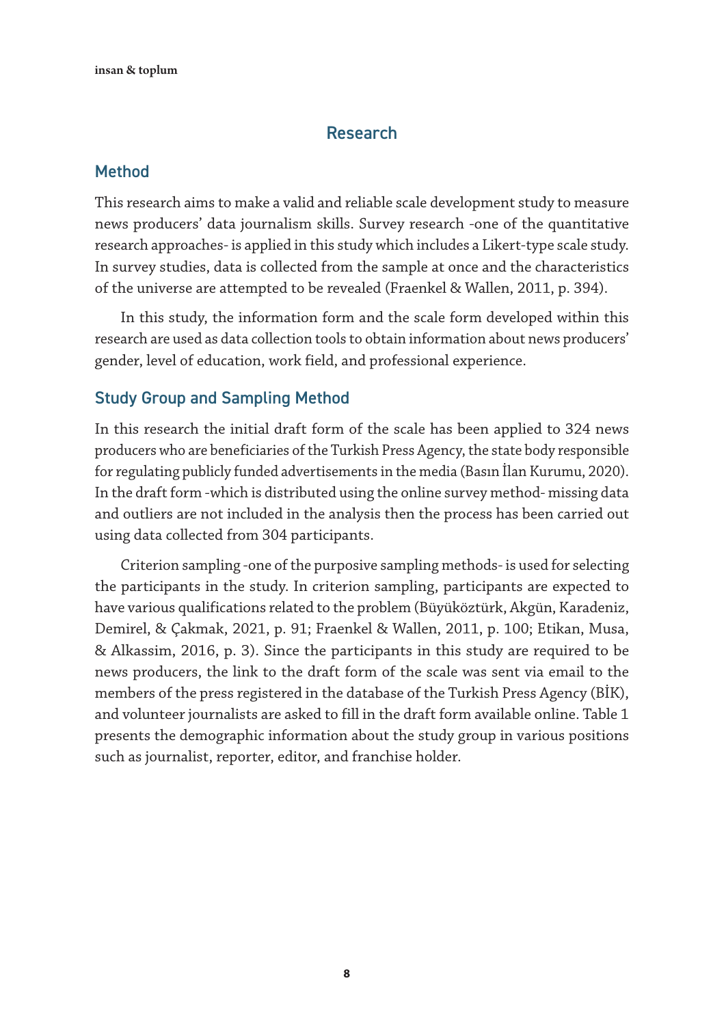#### Research

#### Method

This research aims to make a valid and reliable scale development study to measure news producers' data journalism skills. Survey research -one of the quantitative research approaches- is applied in this study which includes a Likert-type scale study. In survey studies, data is collected from the sample at once and the characteristics of the universe are attempted to be revealed (Fraenkel & Wallen, 2011, p. 394).

In this study, the information form and the scale form developed within this research are used as data collection tools to obtain information about news producers' gender, level of education, work field, and professional experience.

#### Study Group and Sampling Method

In this research the initial draft form of the scale has been applied to 324 news producers who are beneficiaries of the Turkish Press Agency, the state body responsible for regulating publicly funded advertisements in the media (Basın İlan Kurumu, 2020). In the draft form -which is distributed using the online survey method- missing data and outliers are not included in the analysis then the process has been carried out using data collected from 304 participants.

Criterion sampling -one of the purposive sampling methods- is used for selecting the participants in the study. In criterion sampling, participants are expected to have various qualifications related to the problem (Büyüköztürk, Akgün, Karadeniz, Demirel, & Çakmak, 2021, p. 91; Fraenkel & Wallen, 2011, p. 100; Etikan, Musa, & Alkassim, 2016, p. 3). Since the participants in this study are required to be news producers, the link to the draft form of the scale was sent via email to the members of the press registered in the database of the Turkish Press Agency (BİK), and volunteer journalists are asked to fill in the draft form available online. Table 1 presents the demographic information about the study group in various positions such as journalist, reporter, editor, and franchise holder.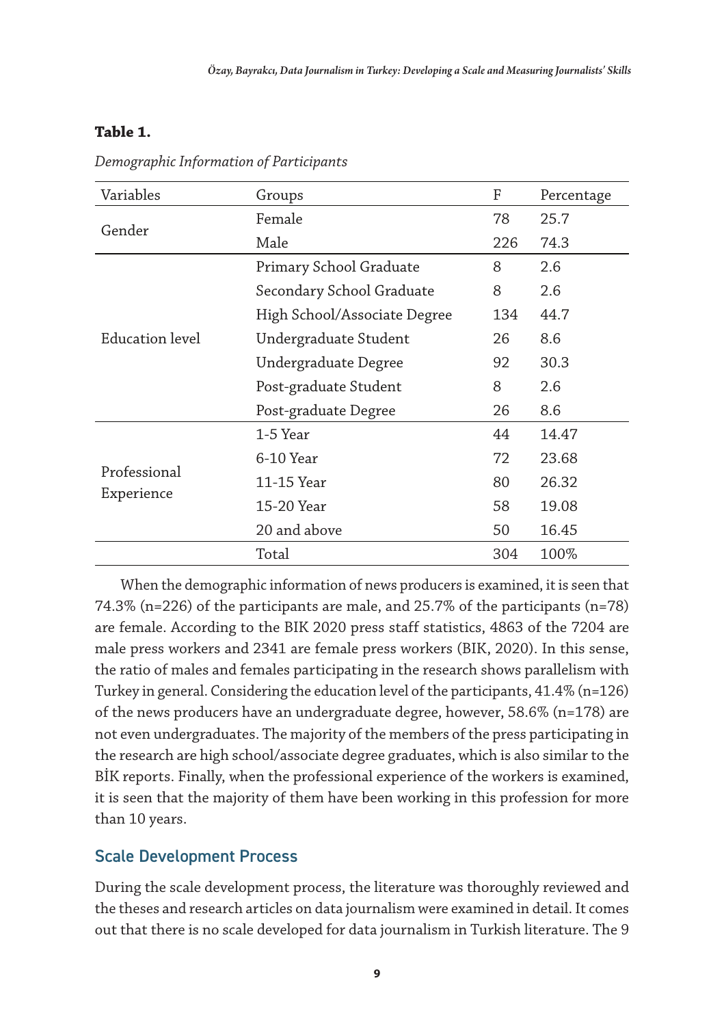#### **Table 1.**

| Variables       | Groups                       | F   | Percentage |
|-----------------|------------------------------|-----|------------|
| Gender          | Female                       |     | 25.7       |
|                 | Male                         | 226 | 74.3       |
|                 | Primary School Graduate      | 8   | 2.6        |
|                 | Secondary School Graduate    | 8   | 2.6        |
|                 | High School/Associate Degree | 134 | 44.7       |
| Education level | Undergraduate Student        | 26  | 8.6        |
|                 | Undergraduate Degree         | 92  | 30.3       |
|                 | Post-graduate Student        | 8   | 2.6        |
|                 | Post-graduate Degree         | 26  | 8.6        |
|                 | 1-5 Year                     | 44  | 14.47      |
|                 | $6-10$ Year                  | 72  | 23.68      |
| Professional    | 11-15 Year                   | 80  | 26.32      |
| Experience      | 15-20 Year                   | 58  | 19.08      |
|                 | 20 and above                 | 50  | 16.45      |
|                 | Total                        | 304 | 100%       |

*Demographic Information of Participants*

When the demographic information of news producers is examined, it is seen that 74.3% (n=226) of the participants are male, and 25.7% of the participants (n=78) are female. According to the BIK 2020 press staff statistics, 4863 of the 7204 are male press workers and 2341 are female press workers (BIK, 2020). In this sense, the ratio of males and females participating in the research shows parallelism with Turkey in general. Considering the education level of the participants, 41.4% (n=126) of the news producers have an undergraduate degree, however, 58.6% (n=178) are not even undergraduates. The majority of the members of the press participating in the research are high school/associate degree graduates, which is also similar to the BİK reports. Finally, when the professional experience of the workers is examined, it is seen that the majority of them have been working in this profession for more than 10 years.

#### Scale Development Process

During the scale development process, the literature was thoroughly reviewed and the theses and research articles on data journalism were examined in detail. It comes out that there is no scale developed for data journalism in Turkish literature. The 9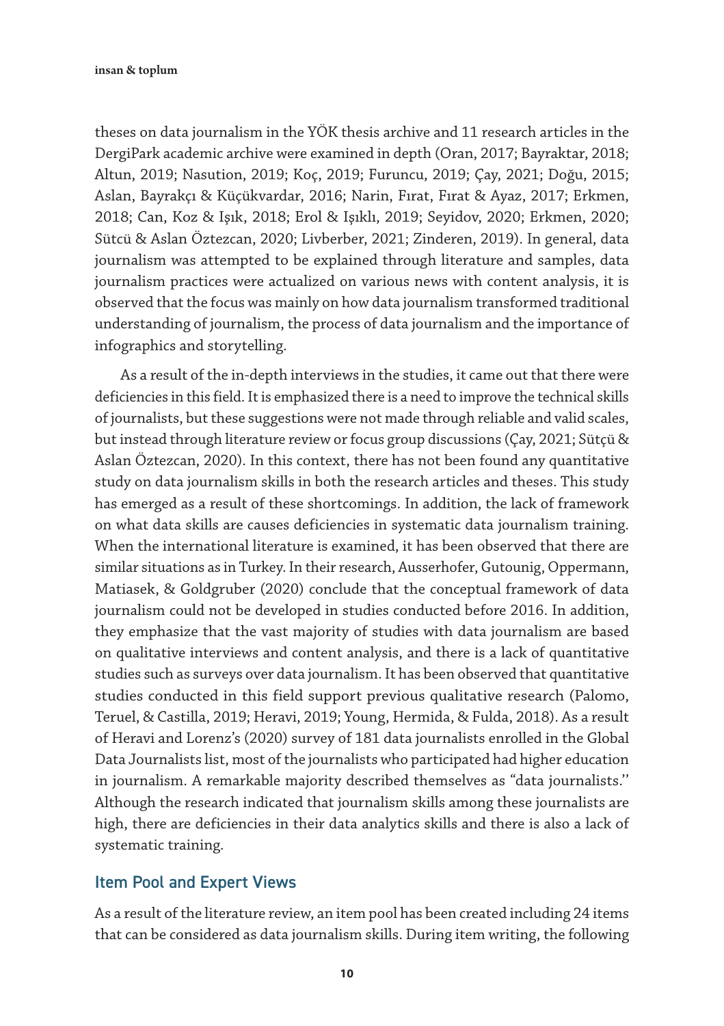insan & toplum

theses on data journalism in the YÖK thesis archive and 11 research articles in the DergiPark academic archive were examined in depth (Oran, 2017; Bayraktar, 2018; Altun, 2019; Nasution, 2019; Koç, 2019; Furuncu, 2019; Çay, 2021; Doğu, 2015; Aslan, Bayrakçı & Küçükvardar, 2016; Narin, Fırat, Fırat & Ayaz, 2017; Erkmen, 2018; Can, Koz & Işık, 2018; Erol & Işıklı, 2019; Seyidov, 2020; Erkmen, 2020; Sütcü & Aslan Öztezcan, 2020; Livberber, 2021; Zinderen, 2019). In general, data journalism was attempted to be explained through literature and samples, data journalism practices were actualized on various news with content analysis, it is observed that the focus was mainly on how data journalism transformed traditional understanding of journalism, the process of data journalism and the importance of infographics and storytelling.

As a result of the in-depth interviews in the studies, it came out that there were deficiencies in this field. It is emphasized there is a need to improve the technical skills of journalists, but these suggestions were not made through reliable and valid scales, but instead through literature review or focus group discussions (Çay, 2021; Sütçü & Aslan Öztezcan, 2020). In this context, there has not been found any quantitative study on data journalism skills in both the research articles and theses. This study has emerged as a result of these shortcomings. In addition, the lack of framework on what data skills are causes deficiencies in systematic data journalism training. When the international literature is examined, it has been observed that there are similar situations as in Turkey. In their research, Ausserhofer, Gutounig, Oppermann, Matiasek, & Goldgruber (2020) conclude that the conceptual framework of data journalism could not be developed in studies conducted before 2016. In addition, they emphasize that the vast majority of studies with data journalism are based on qualitative interviews and content analysis, and there is a lack of quantitative studies such as surveys over data journalism. It has been observed that quantitative studies conducted in this field support previous qualitative research (Palomo, Teruel, & Castilla, 2019; Heravi, 2019; Young, Hermida, & Fulda, 2018). As a result of Heravi and Lorenz's (2020) survey of 181 data journalists enrolled in the Global Data Journalists list, most of the journalists who participated had higher education in journalism. A remarkable majority described themselves as "data journalists.'' Although the research indicated that journalism skills among these journalists are high, there are deficiencies in their data analytics skills and there is also a lack of systematic training.

#### Item Pool and Expert Views

As a result of the literature review, an item pool has been created including 24 items that can be considered as data journalism skills. During item writing, the following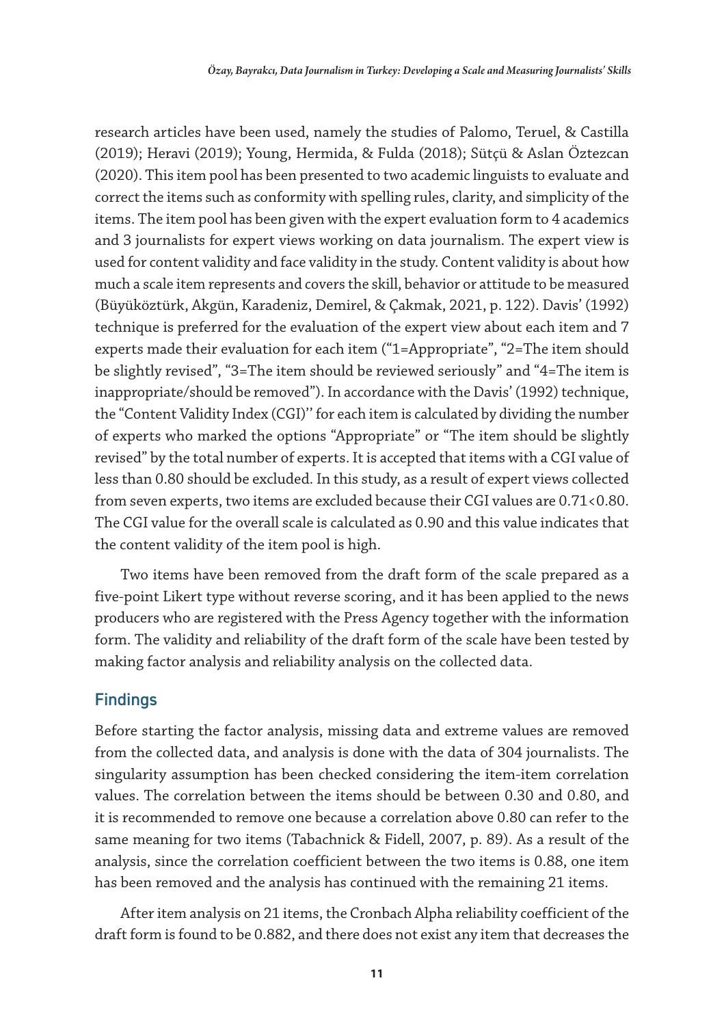research articles have been used, namely the studies of Palomo, Teruel, & Castilla (2019); Heravi (2019); Young, Hermida, & Fulda (2018); Sütçü & Aslan Öztezcan (2020). This item pool has been presented to two academic linguists to evaluate and correct the items such as conformity with spelling rules, clarity, and simplicity of the items. The item pool has been given with the expert evaluation form to 4 academics and 3 journalists for expert views working on data journalism. The expert view is used for content validity and face validity in the study. Content validity is about how much a scale item represents and covers the skill, behavior or attitude to be measured (Büyüköztürk, Akgün, Karadeniz, Demirel, & Çakmak, 2021, p. 122). Davis' (1992) technique is preferred for the evaluation of the expert view about each item and 7 experts made their evaluation for each item ("1=Appropriate", "2=The item should be slightly revised", "3=The item should be reviewed seriously" and "4=The item is inappropriate/should be removed"). In accordance with the Davis' (1992) technique, the "Content Validity Index (CGI)'' for each item is calculated by dividing the number of experts who marked the options "Appropriate" or "The item should be slightly revised" by the total number of experts. It is accepted that items with a CGI value of less than 0.80 should be excluded. In this study, as a result of expert views collected from seven experts, two items are excluded because their CGI values are 0.71<0.80. The CGI value for the overall scale is calculated as 0.90 and this value indicates that the content validity of the item pool is high.

Two items have been removed from the draft form of the scale prepared as a five-point Likert type without reverse scoring, and it has been applied to the news producers who are registered with the Press Agency together with the information form. The validity and reliability of the draft form of the scale have been tested by making factor analysis and reliability analysis on the collected data.

#### Findings

Before starting the factor analysis, missing data and extreme values are removed from the collected data, and analysis is done with the data of 304 journalists. The singularity assumption has been checked considering the item-item correlation values. The correlation between the items should be between 0.30 and 0.80, and it is recommended to remove one because a correlation above 0.80 can refer to the same meaning for two items (Tabachnick & Fidell, 2007, p. 89). As a result of the analysis, since the correlation coefficient between the two items is 0.88, one item has been removed and the analysis has continued with the remaining 21 items.

After item analysis on 21 items, the Cronbach Alpha reliability coefficient of the draft form is found to be 0.882, and there does not exist any item that decreases the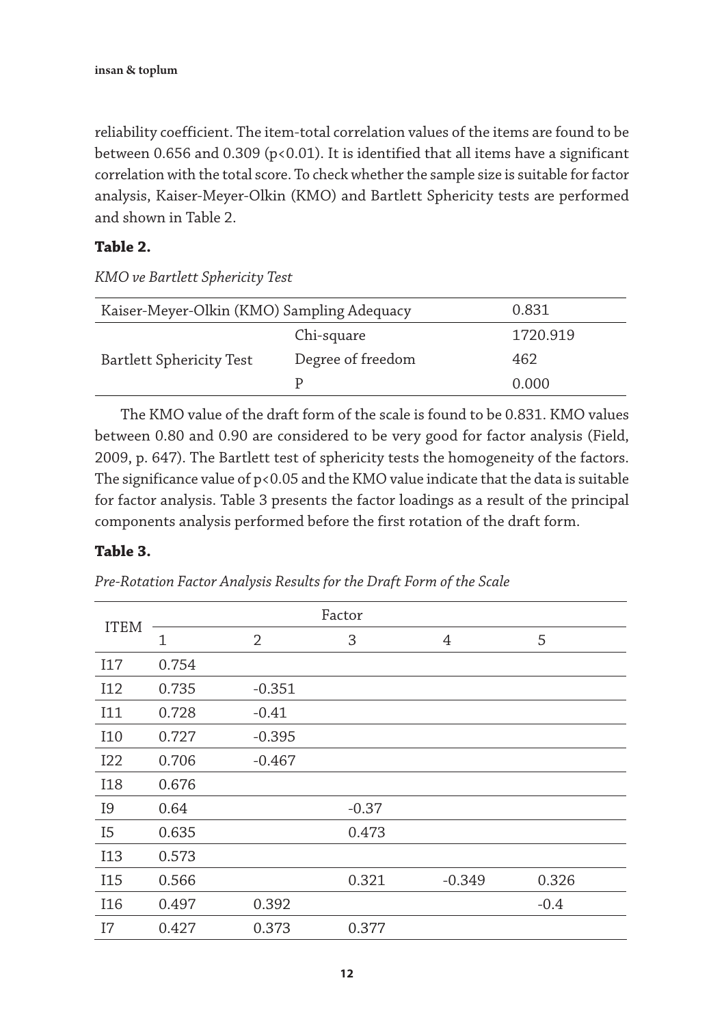reliability coefficient. The item-total correlation values of the items are found to be between 0.656 and 0.309 ( $p<0.01$ ). It is identified that all items have a significant correlation with the total score. To check whether the sample size is suitable for factor analysis, Kaiser-Meyer-Olkin (KMO) and Bartlett Sphericity tests are performed and shown in Table 2.

#### **Table 2.**

*KMO ve Bartlett Sphericity Test*

| Kaiser-Meyer-Olkin (KMO) Sampling Adequacy |                   | 0.831    |
|--------------------------------------------|-------------------|----------|
|                                            | Chi-square        | 1720.919 |
| <b>Bartlett Sphericity Test</b>            | Degree of freedom | 462      |
|                                            |                   | 0.000    |

The KMO value of the draft form of the scale is found to be 0.831. KMO values between 0.80 and 0.90 are considered to be very good for factor analysis (Field, 2009, p. 647). The Bartlett test of sphericity tests the homogeneity of the factors. The significance value of  $p<0.05$  and the KMO value indicate that the data is suitable for factor analysis. Table 3 presents the factor loadings as a result of the principal components analysis performed before the first rotation of the draft form.

#### **Table 3.**

|                |       |          | Factor  |          |        |
|----------------|-------|----------|---------|----------|--------|
| <b>ITEM</b>    | 1     | 2        | 3       | 4        | 5      |
| I17            | 0.754 |          |         |          |        |
| I12            | 0.735 | $-0.351$ |         |          |        |
| I11            | 0.728 | $-0.41$  |         |          |        |
| I10            | 0.727 | $-0.395$ |         |          |        |
| <b>I22</b>     | 0.706 | $-0.467$ |         |          |        |
| <b>I18</b>     | 0.676 |          |         |          |        |
| <b>I9</b>      | 0.64  |          | $-0.37$ |          |        |
| I <sub>5</sub> | 0.635 |          | 0.473   |          |        |
| I13            | 0.573 |          |         |          |        |
| <b>I15</b>     | 0.566 |          | 0.321   | $-0.349$ | 0.326  |
| I16            | 0.497 | 0.392    |         |          | $-0.4$ |
| I7             | 0.427 | 0.373    | 0.377   |          |        |

*Pre-Rotation Factor Analysis Results for the Draft Form of the Scale*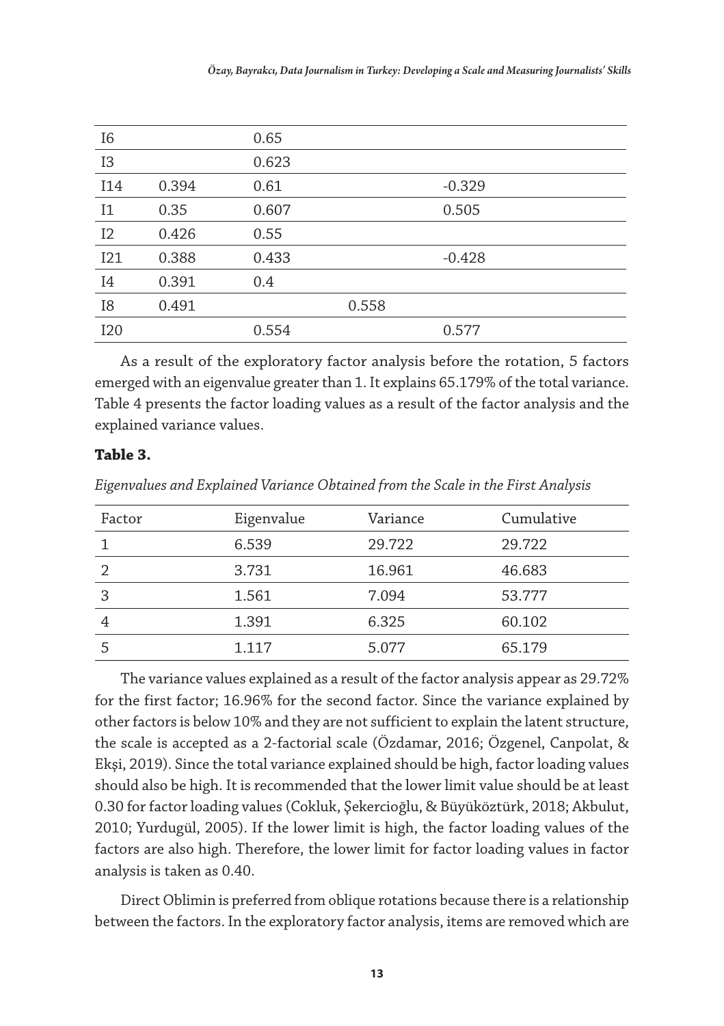| I6              |       | 0.65  |       |          |
|-----------------|-------|-------|-------|----------|
| I3              |       | 0.623 |       |          |
| I14             | 0.394 | 0.61  |       | $-0.329$ |
| I <sub>1</sub>  | 0.35  | 0.607 |       | 0.505    |
| 12              | 0.426 | 0.55  |       |          |
| I21             | 0.388 | 0.433 |       | $-0.428$ |
| I4              | 0.391 | 0.4   |       |          |
| I8              | 0.491 |       | 0.558 |          |
| I <sub>20</sub> |       | 0.554 |       | 0.577    |

As a result of the exploratory factor analysis before the rotation, 5 factors emerged with an eigenvalue greater than 1. It explains 65.179% of the total variance. Table 4 presents the factor loading values as a result of the factor analysis and the explained variance values.

#### **Table 3.**

|  |  |  | Eigenvalues and Explained Variance Obtained from the Scale in the First Analysis |  |  |  |  |
|--|--|--|----------------------------------------------------------------------------------|--|--|--|--|
|  |  |  |                                                                                  |  |  |  |  |

| Factor | Eigenvalue | Variance | Cumulative |
|--------|------------|----------|------------|
|        | 6.539      | 29.722   | 29.722     |
|        | 3.731      | 16.961   | 46.683     |
| 3      | 1.561      | 7.094    | 53.777     |
| 4      | 1.391      | 6.325    | 60.102     |
|        | 1.117      | 5.077    | 65.179     |

The variance values explained as a result of the factor analysis appear as 29.72% for the first factor; 16.96% for the second factor. Since the variance explained by other factors is below 10% and they are not sufficient to explain the latent structure, the scale is accepted as a 2-factorial scale (Özdamar, 2016; Özgenel, Canpolat, & Ekşi, 2019). Since the total variance explained should be high, factor loading values should also be high. It is recommended that the lower limit value should be at least 0.30 for factor loading values (Cokluk, Şekercioğlu, & Büyüköztürk, 2018; Akbulut, 2010; Yurdugül, 2005). If the lower limit is high, the factor loading values of the factors are also high. Therefore, the lower limit for factor loading values in factor analysis is taken as 0.40.

Direct Oblimin is preferred from oblique rotations because there is a relationship between the factors. In the exploratory factor analysis, items are removed which are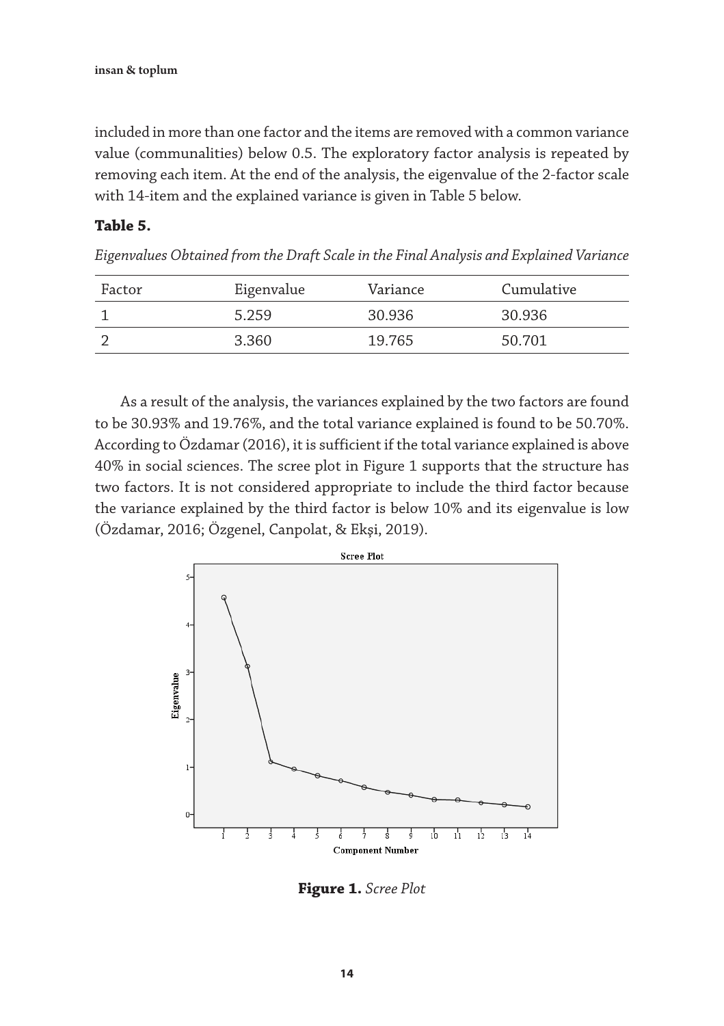included in more than one factor and the items are removed with a common variance value (communalities) below 0.5. The exploratory factor analysis is repeated by removing each item. At the end of the analysis, the eigenvalue of the 2-factor scale with 14-item and the explained variance is given in Table 5 below.

#### **Table 5.**

*Eigenvalues Obtained from the Draft Scale in the Final Analysis and Explained Variance*

| Factor | Eigenvalue | Variance | Cumulative |
|--------|------------|----------|------------|
|        | 5.259      | 30.936   | 30.936     |
|        | 3.360      | 19.765   | 50.701     |

As a result of the analysis, the variances explained by the two factors are found to be 30.93% and 19.76%, and the total variance explained is found to be 50.70%. According to Özdamar (2016), it is sufficient if the total variance explained is above 40% in social sciences. The scree plot in Figure 1 supports that the structure has two factors. It is not considered appropriate to include the third factor because the variance explained by the third factor is below 10% and its eigenvalue is low (Özdamar, 2016; Özgenel, Canpolat, & Ekşi, 2019).



**Figure 1.** *Scree Plot*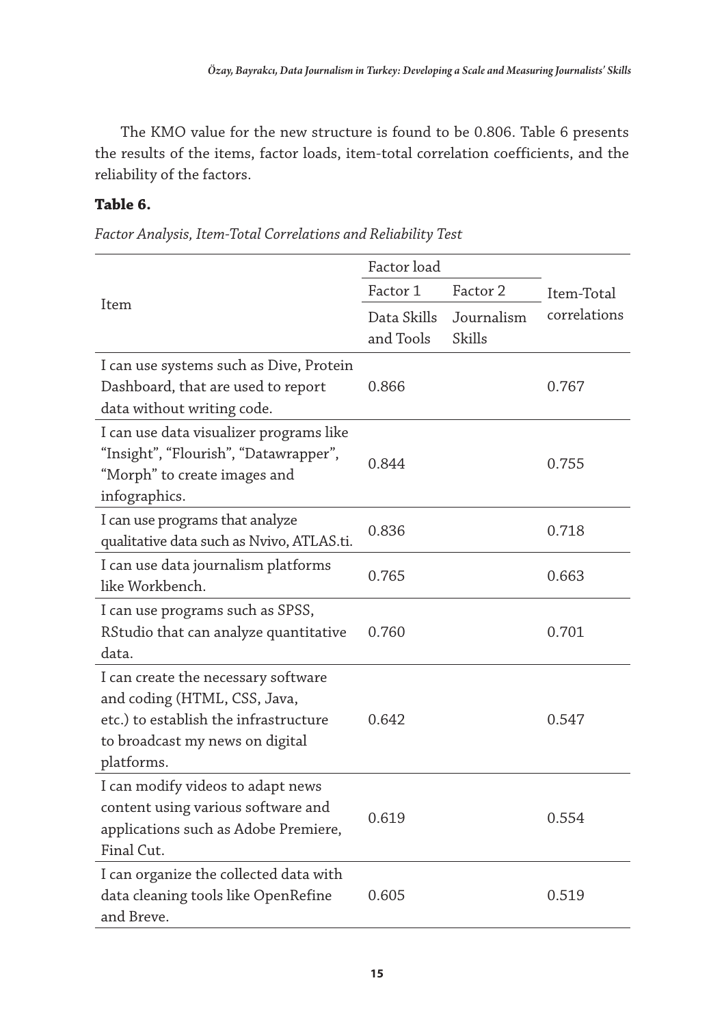The KMO value for the new structure is found to be 0.806. Table 6 presents the results of the items, factor loads, item-total correlation coefficients, and the reliability of the factors.

#### **Table 6.**

|                                                                                                                                                               | Factor load              |                      |              |
|---------------------------------------------------------------------------------------------------------------------------------------------------------------|--------------------------|----------------------|--------------|
|                                                                                                                                                               | Factor 1                 | Factor 2             | Item-Total   |
| Item                                                                                                                                                          | Data Skills<br>and Tools | Journalism<br>Skills | correlations |
| I can use systems such as Dive, Protein<br>Dashboard, that are used to report<br>data without writing code.                                                   | 0.866                    |                      | 0.767        |
| I can use data visualizer programs like<br>"Insight", "Flourish", "Datawrapper",<br>"Morph" to create images and<br>infographics.                             | 0.844                    |                      | 0.755        |
| I can use programs that analyze<br>qualitative data such as Nvivo, ATLAS.ti.                                                                                  | 0.836                    |                      | 0.718        |
| I can use data journalism platforms<br>like Workbench.                                                                                                        | 0.765                    |                      | 0.663        |
| I can use programs such as SPSS,<br>RStudio that can analyze quantitative<br>data.                                                                            | 0.760                    |                      | 0.701        |
| I can create the necessary software<br>and coding (HTML, CSS, Java,<br>etc.) to establish the infrastructure<br>to broadcast my news on digital<br>platforms. | 0.642                    |                      | 0.547        |
| I can modify videos to adapt news<br>content using various software and<br>applications such as Adobe Premiere,<br>Final Cut.                                 | 0.619                    |                      | 0.554        |
| I can organize the collected data with<br>data cleaning tools like OpenRefine<br>and Breve.                                                                   | 0.605                    |                      | 0.519        |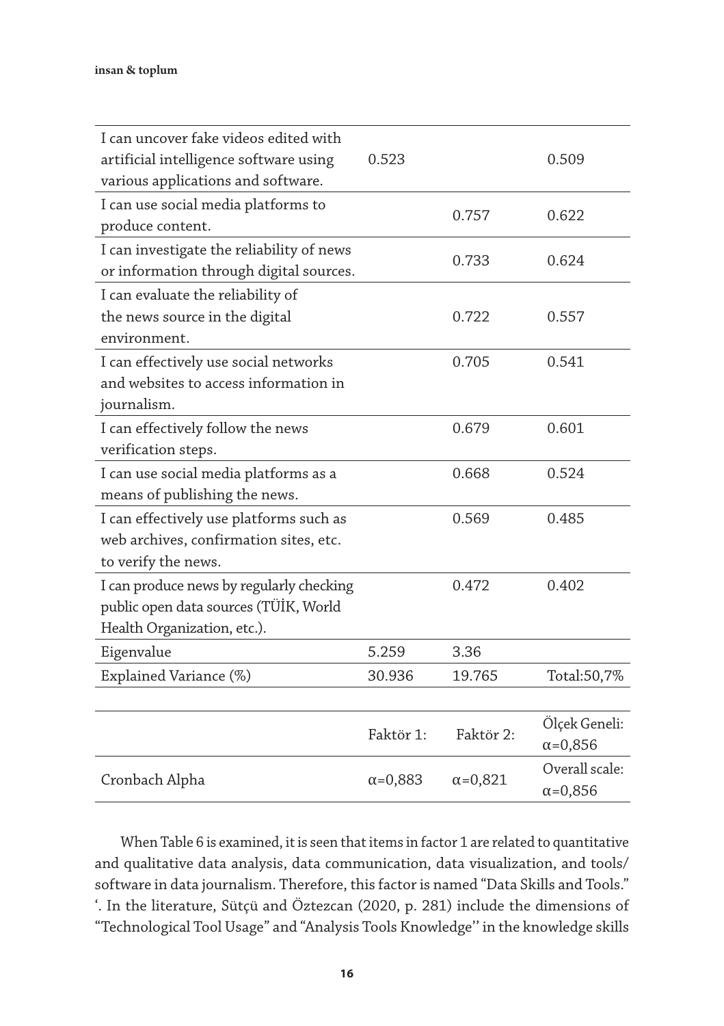| I can uncover fake videos edited with<br>artificial intelligence software using<br>various applications and software. | 0.523            |                  | 0.509                              |
|-----------------------------------------------------------------------------------------------------------------------|------------------|------------------|------------------------------------|
| I can use social media platforms to<br>produce content.                                                               |                  | 0.757            | 0.622                              |
| I can investigate the reliability of news<br>or information through digital sources.                                  |                  | 0.733            | 0.624                              |
| I can evaluate the reliability of<br>the news source in the digital<br>environment.                                   |                  | 0.722            | 0.557                              |
| I can effectively use social networks<br>and websites to access information in<br>journalism.                         |                  | 0.705            | 0.541                              |
| I can effectively follow the news<br>verification steps.                                                              |                  | 0.679            | 0.601                              |
| I can use social media platforms as a<br>means of publishing the news.                                                |                  | 0.668            | 0.524                              |
| I can effectively use platforms such as<br>web archives, confirmation sites, etc.<br>to verify the news.              |                  | 0.569            | 0.485                              |
| I can produce news by regularly checking<br>public open data sources (TÜİK, World<br>Health Organization, etc.).      |                  | 0.472            | 0.402                              |
| Eigenvalue                                                                                                            | 5.259            | 3.36             |                                    |
| Explained Variance (%)                                                                                                | 30.936           | 19.765           | Total:50,7%                        |
|                                                                                                                       |                  |                  |                                    |
|                                                                                                                       | Faktör 1:        | Faktör 2:        | Ölçek Geneli:<br>$\alpha = 0,856$  |
| Cronbach Alpha                                                                                                        | $\alpha = 0,883$ | $\alpha = 0,821$ | Overall scale:<br>$\alpha = 0,856$ |

When Table 6 is examined, it is seen that items in factor 1 are related to quantitative and qualitative data analysis, data communication, data visualization, and tools/ software in data journalism. Therefore, this factor is named "Data Skills and Tools." '. In the literature, Sütçü and Öztezcan (2020, p. 281) include the dimensions of "Technological Tool Usage" and "Analysis Tools Knowledge'' in the knowledge skills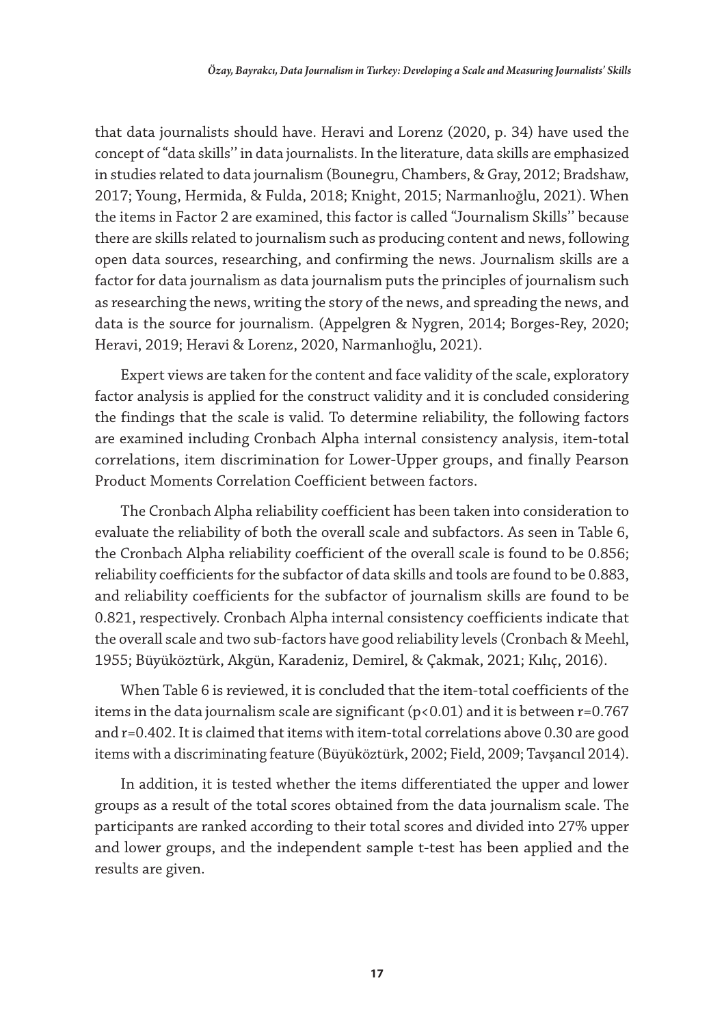that data journalists should have. Heravi and Lorenz (2020, p. 34) have used the concept of "data skills'' in data journalists. In the literature, data skills are emphasized in studies related to data journalism (Bounegru, Chambers, & Gray, 2012; Bradshaw, 2017; Young, Hermida, & Fulda, 2018; Knight, 2015; Narmanlıoğlu, 2021). When the items in Factor 2 are examined, this factor is called "Journalism Skills'' because there are skills related to journalism such as producing content and news, following open data sources, researching, and confirming the news. Journalism skills are a factor for data journalism as data journalism puts the principles of journalism such as researching the news, writing the story of the news, and spreading the news, and data is the source for journalism. (Appelgren & Nygren, 2014; Borges-Rey, 2020; Heravi, 2019; Heravi & Lorenz, 2020, Narmanlıoğlu, 2021).

Expert views are taken for the content and face validity of the scale, exploratory factor analysis is applied for the construct validity and it is concluded considering the findings that the scale is valid. To determine reliability, the following factors are examined including Cronbach Alpha internal consistency analysis, item-total correlations, item discrimination for Lower-Upper groups, and finally Pearson Product Moments Correlation Coefficient between factors.

The Cronbach Alpha reliability coefficient has been taken into consideration to evaluate the reliability of both the overall scale and subfactors. As seen in Table 6, the Cronbach Alpha reliability coefficient of the overall scale is found to be 0.856; reliability coefficients for the subfactor of data skills and tools are found to be 0.883, and reliability coefficients for the subfactor of journalism skills are found to be 0.821, respectively. Cronbach Alpha internal consistency coefficients indicate that the overall scale and two sub-factors have good reliability levels (Cronbach & Meehl, 1955; Büyüköztürk, Akgün, Karadeniz, Demirel, & Çakmak, 2021; Kılıç, 2016).

When Table 6 is reviewed, it is concluded that the item-total coefficients of the items in the data journalism scale are significant  $(p<0.01)$  and it is between r=0.767 and r=0.402. It is claimed that items with item-total correlations above 0.30 are good items with a discriminating feature (Büyüköztürk, 2002; Field, 2009; Tavşancıl 2014).

In addition, it is tested whether the items differentiated the upper and lower groups as a result of the total scores obtained from the data journalism scale. The participants are ranked according to their total scores and divided into 27% upper and lower groups, and the independent sample t-test has been applied and the results are given.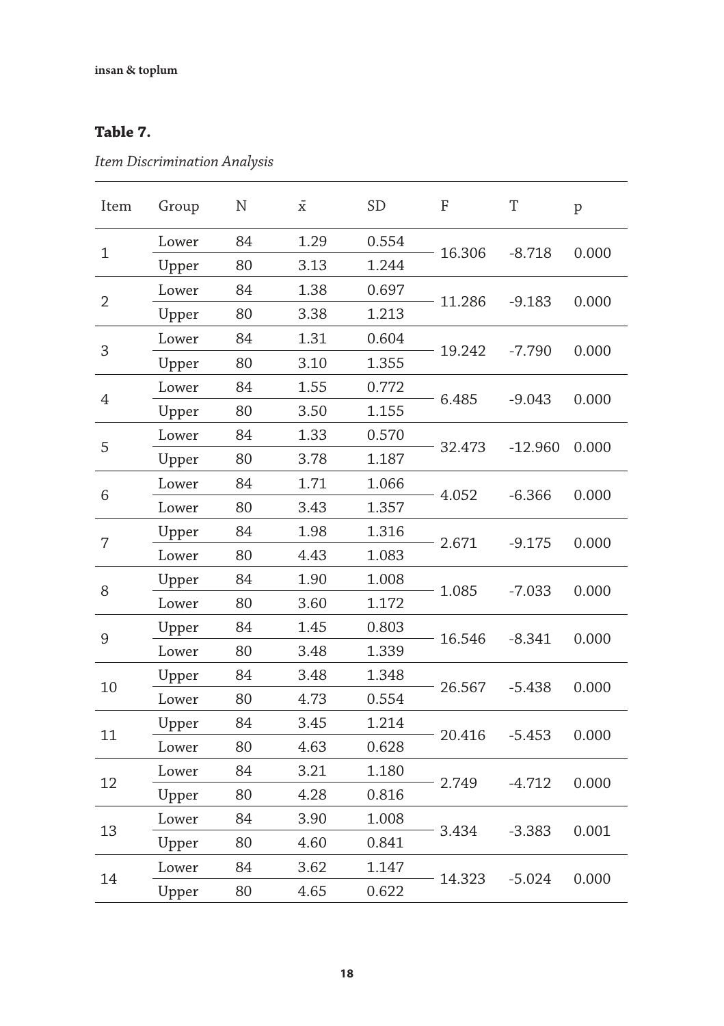### **Table 7.**

*Item Discrimination Analysis*

| Item           | Group | N  | $\bar{\mathrm{x}}$ | <b>SD</b> | F      | T         | $\, {\bf p}$ |
|----------------|-------|----|--------------------|-----------|--------|-----------|--------------|
|                | Lower | 84 | 1.29               | 0.554     | 16.306 |           |              |
| 1              | Upper | 80 | 3.13               | 1.244     |        | $-8.718$  | 0.000        |
| $\overline{2}$ | Lower | 84 | 1.38               | 0.697     | 11.286 | $-9.183$  | 0.000        |
|                | Upper | 80 | 3.38               | 1.213     |        |           |              |
| 3              | Lower | 84 | 1.31               | 0.604     |        |           |              |
|                | Upper | 80 | 3.10               | 1.355     | 19.242 | $-7.790$  | 0.000        |
|                | Lower | 84 | 1.55               | 0.772     |        |           |              |
| $\overline{4}$ | Upper | 80 | 3.50               | 1.155     | 6.485  | $-9.043$  | 0.000        |
|                | Lower | 84 | 1.33               | 0.570     |        |           |              |
| 5              | Upper | 80 | 3.78               | 1.187     | 32.473 | $-12.960$ | 0.000        |
|                | Lower | 84 | 1.71               | 1.066     |        | $-6.366$  | 0.000        |
| 6              | Lower | 80 | 3.43               | 1.357     | 4.052  |           |              |
| $\overline{7}$ | Upper | 84 | 1.98               | 1.316     | 2.671  | $-9.175$  | 0.000        |
|                | Lower | 80 | 4.43               | 1.083     |        |           |              |
| 8              | Upper | 84 | 1.90               | 1.008     | 1.085  | $-7.033$  | 0.000        |
|                | Lower | 80 | 3.60               | 1.172     |        |           |              |
| 9              | Upper | 84 | 1.45               | 0.803     | 16.546 | $-8.341$  |              |
|                | Lower | 80 | 3.48               | 1.339     |        |           | 0.000        |
| 10             | Upper | 84 | 3.48               | 1.348     | 26.567 | $-5.438$  | 0.000        |
|                | Lower | 80 | 4.73               | 0.554     |        |           |              |
| 11             | Upper | 84 | 3.45               | 1.214     |        |           |              |
|                | Lower | 80 | 4.63               | 0.628     | 20.416 | $-5.453$  | 0.000        |
| 12             | Lower | 84 | 3.21               | 1.180     |        | $-4.712$  | 0.000        |
|                | Upper | 80 | 4.28               | 0.816     | 2.749  |           |              |
| 13             | Lower | 84 | 3.90               | 1.008     | 3.434  | $-3.383$  |              |
|                | Upper | 80 | 4.60               | 0.841     |        |           | 0.001        |
|                | Lower | 84 | 3.62               | 1.147     | 14.323 | $-5.024$  | 0.000        |
| 14             | Upper | 80 | 4.65               | 0.622     |        |           |              |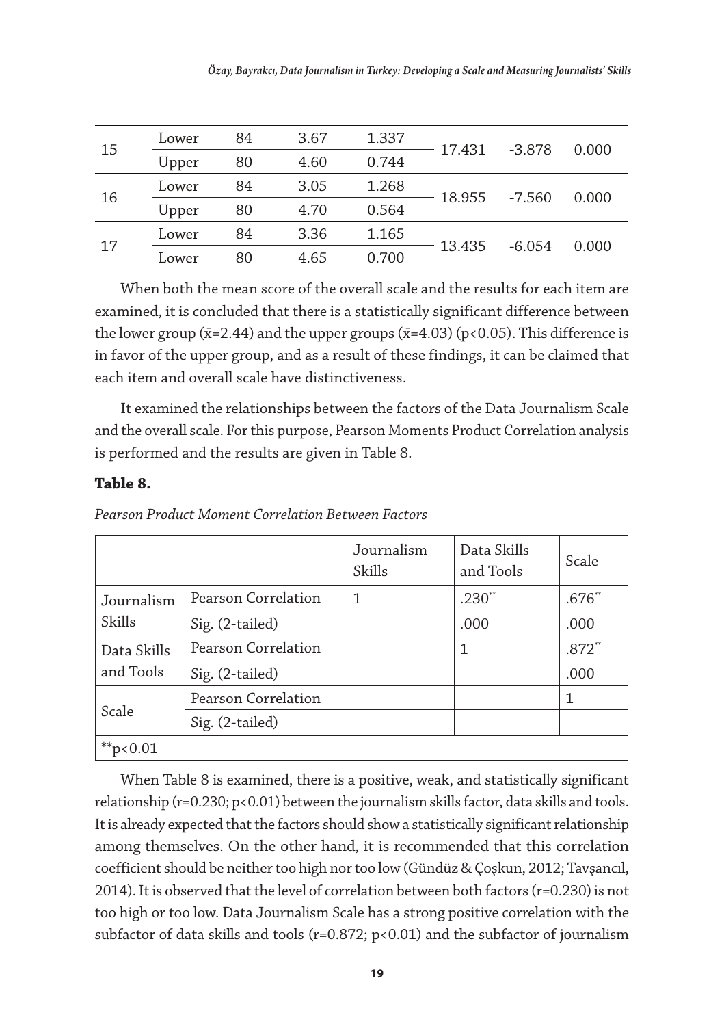| 15 | Lower | 84 | 3.67 | 1.337 | 17.431 | -3.878   | 0.000 |
|----|-------|----|------|-------|--------|----------|-------|
|    | Upper | 80 | 4.60 | 0.744 |        |          |       |
| 16 | Lower | 84 | 3.05 | 1.268 |        | -7.560   | 0.000 |
|    | Upper | 80 | 4.70 | 0.564 | 18.955 |          |       |
| 17 | Lower | 84 | 3.36 | 1.165 | 13.435 | $-6.054$ | 0.000 |
|    | Lower | 80 | 4.65 | 0.700 |        |          |       |

When both the mean score of the overall scale and the results for each item are examined, it is concluded that there is a statistically significant difference between the lower group ( $\bar{x}$ =2.44) and the upper groups ( $\bar{x}$ =4.03) (p<0.05). This difference is in favor of the upper group, and as a result of these findings, it can be claimed that each item and overall scale have distinctiveness.

It examined the relationships between the factors of the Data Journalism Scale and the overall scale. For this purpose, Pearson Moments Product Correlation analysis is performed and the results are given in Table 8.

#### **Table 8.**

| Pearson Product Moment Correlation Between Factors |  |
|----------------------------------------------------|--|
|----------------------------------------------------|--|

|                          |                     | Journalism<br>Skills | Data Skills<br>and Tools | Scale    |
|--------------------------|---------------------|----------------------|--------------------------|----------|
| Journalism<br>Skills     | Pearson Correlation | 1                    | $.230**$                 | $.676**$ |
|                          | Sig. (2-tailed)     |                      | .000                     | .000     |
| Data Skills<br>and Tools | Pearson Correlation |                      | 1                        | $.872**$ |
|                          | Sig. (2-tailed)     |                      |                          | .000     |
| Scale                    | Pearson Correlation |                      |                          |          |
|                          | Sig. (2-tailed)     |                      |                          |          |
| ** $p<0.01$              |                     |                      |                          |          |

When Table 8 is examined, there is a positive, weak, and statistically significant relationship ( $r=0.230$ ;  $p<0.01$ ) between the journalism skills factor, data skills and tools. It is already expected that the factors should show a statistically significant relationship among themselves. On the other hand, it is recommended that this correlation coefficient should be neither too high nor too low (Gündüz & Çoşkun, 2012; Tavşancıl, 2014). It is observed that the level of correlation between both factors ( $r=0.230$ ) is not too high or too low. Data Journalism Scale has a strong positive correlation with the subfactor of data skills and tools ( $r=0.872$ ;  $p<0.01$ ) and the subfactor of journalism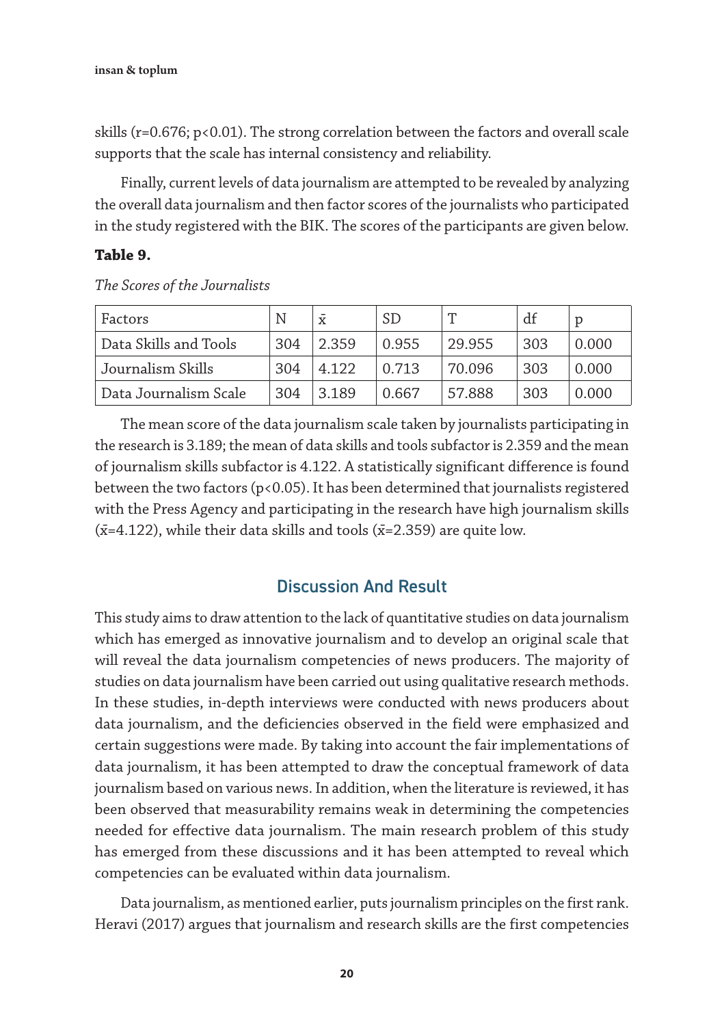skills ( $r=0.676$ ;  $p<0.01$ ). The strong correlation between the factors and overall scale supports that the scale has internal consistency and reliability.

Finally, current levels of data journalism are attempted to be revealed by analyzing the overall data journalism and then factor scores of the journalists who participated in the study registered with the BIK. The scores of the participants are given below.

#### **Table 9.**

|  | The Scores of the Journalists |
|--|-------------------------------|
|--|-------------------------------|

| Factors               | N   | X     | SD    |        | df  |       |
|-----------------------|-----|-------|-------|--------|-----|-------|
| Data Skills and Tools | 304 | 2.359 | 0.955 | 29.955 | 303 | 0.000 |
| Journalism Skills     | 304 | 4.122 | 0.713 | 70.096 | 303 | 0.000 |
| Data Journalism Scale | 304 | 3.189 | 0.667 | 57.888 | 303 | 0.000 |

The mean score of the data journalism scale taken by journalists participating in the research is 3.189; the mean of data skills and tools subfactor is 2.359 and the mean of journalism skills subfactor is 4.122. A statistically significant difference is found between the two factors (p<0.05). It has been determined that journalists registered with the Press Agency and participating in the research have high journalism skills  $(x=4.122)$ , while their data skills and tools  $(x=2.359)$  are quite low.

#### Discussion And Result

This study aims to draw attention to the lack of quantitative studies on data journalism which has emerged as innovative journalism and to develop an original scale that will reveal the data journalism competencies of news producers. The majority of studies on data journalism have been carried out using qualitative research methods. In these studies, in-depth interviews were conducted with news producers about data journalism, and the deficiencies observed in the field were emphasized and certain suggestions were made. By taking into account the fair implementations of data journalism, it has been attempted to draw the conceptual framework of data journalism based on various news. In addition, when the literature is reviewed, it has been observed that measurability remains weak in determining the competencies needed for effective data journalism. The main research problem of this study has emerged from these discussions and it has been attempted to reveal which competencies can be evaluated within data journalism.

Data journalism, as mentioned earlier, puts journalism principles on the first rank. Heravi (2017) argues that journalism and research skills are the first competencies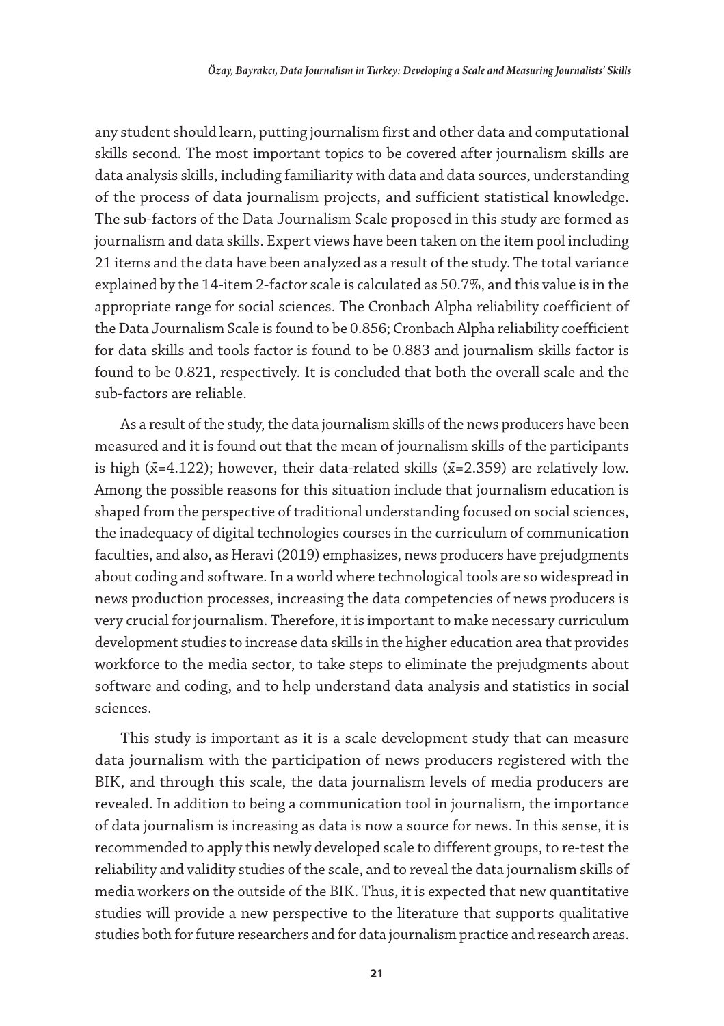any student should learn, putting journalism first and other data and computational skills second. The most important topics to be covered after journalism skills are data analysis skills, including familiarity with data and data sources, understanding of the process of data journalism projects, and sufficient statistical knowledge. The sub-factors of the Data Journalism Scale proposed in this study are formed as journalism and data skills. Expert views have been taken on the item pool including 21 items and the data have been analyzed as a result of the study. The total variance explained by the 14-item 2-factor scale is calculated as 50.7%, and this value is in the appropriate range for social sciences. The Cronbach Alpha reliability coefficient of the Data Journalism Scale is found to be 0.856; Cronbach Alpha reliability coefficient for data skills and tools factor is found to be 0.883 and journalism skills factor is found to be 0.821, respectively. It is concluded that both the overall scale and the sub-factors are reliable.

As a result of the study, the data journalism skills of the news producers have been measured and it is found out that the mean of journalism skills of the participants is high ( $\bar{x}$ =4.122); however, their data-related skills ( $\bar{x}$ =2.359) are relatively low. Among the possible reasons for this situation include that journalism education is shaped from the perspective of traditional understanding focused on social sciences, the inadequacy of digital technologies courses in the curriculum of communication faculties, and also, as Heravi (2019) emphasizes, news producers have prejudgments about coding and software. In a world where technological tools are so widespread in news production processes, increasing the data competencies of news producers is very crucial for journalism. Therefore, it is important to make necessary curriculum development studies to increase data skills in the higher education area that provides workforce to the media sector, to take steps to eliminate the prejudgments about software and coding, and to help understand data analysis and statistics in social sciences.

This study is important as it is a scale development study that can measure data journalism with the participation of news producers registered with the BIK, and through this scale, the data journalism levels of media producers are revealed. In addition to being a communication tool in journalism, the importance of data journalism is increasing as data is now a source for news. In this sense, it is recommended to apply this newly developed scale to different groups, to re-test the reliability and validity studies of the scale, and to reveal the data journalism skills of media workers on the outside of the BIK. Thus, it is expected that new quantitative studies will provide a new perspective to the literature that supports qualitative studies both for future researchers and for data journalism practice and research areas.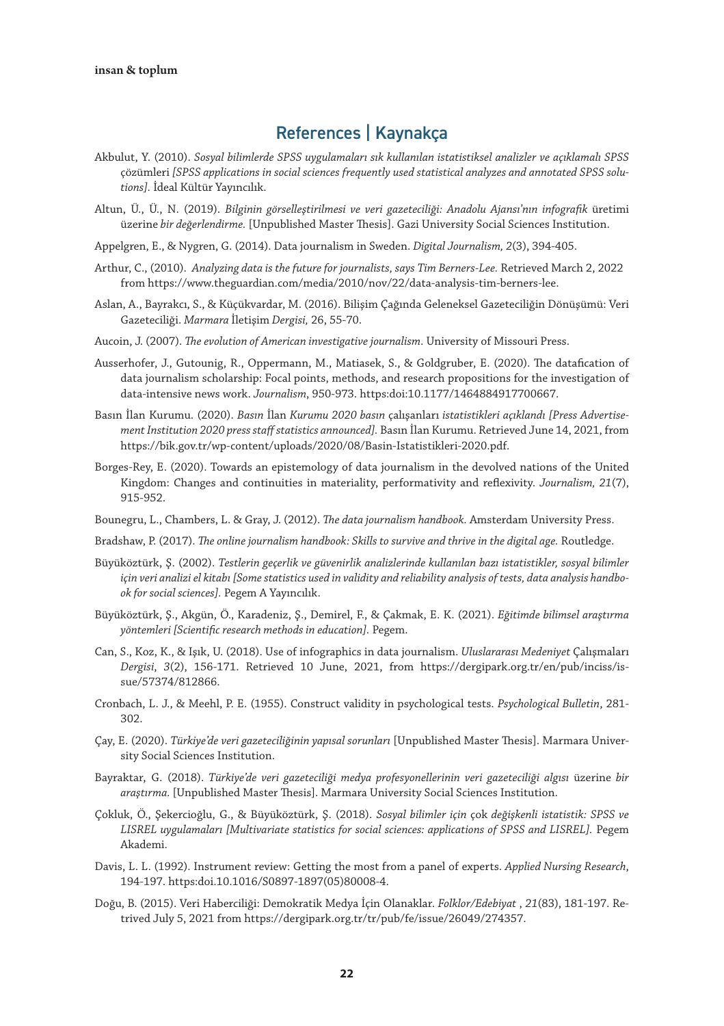### References | Kaynakça

- Akbulut, Y. (2010). *Sosyal bilimlerde SPSS uygulamaları sık kullanılan istatistiksel analizler ve açıklamalı SPSS*  çözümleri *[SPSS applications in social sciences frequently used statistical analyzes and annotated SPSS solutions].* İdeal Kültür Yayıncılık.
- Altun, Ü., Ü., N. (2019). *Bilginin görselleştirilmesi ve veri gazeteciliği: Anadolu Ajansı'nın infografik* üretimi üzerine *bir değerlendirme.* [Unpublished Master Thesis]. Gazi University Social Sciences Institution.
- Appelgren, E., & Nygren, G. (2014). Data journalism in Sweden. *Digital Journalism, 2*(3), 394-405.
- Arthur, C., (2010). *Analyzing data is the future for journalists, says Tim Berners-Lee.* Retrieved March 2, 2022 from https://www.theguardian.com/media/2010/nov/22/data-analysis-tim-berners-lee.
- Aslan, A., Bayrakcı, S., & Küçükvardar, M. (2016). Bilişim Çağında Geleneksel Gazeteciliğin Dönüşümü: Veri Gazeteciliği. *Marmara* İletişim *Dergisi,* 26, 55-70.
- Aucoin, J. (2007). *The evolution of American investigative journalism*. University of Missouri Press.
- Ausserhofer, J., Gutounig, R., Oppermann, M., Matiasek, S., & Goldgruber, E. (2020). The datafication of data journalism scholarship: Focal points, methods, and research propositions for the investigation of data-intensive news work. *Journalism*, 950-973. https:doi:10.1177/1464884917700667.
- Basın İlan Kurumu. (2020). *Basın* İlan *Kurumu 2020 basın* çalışanları *istatistikleri açıklandı [Press Advertisement Institution 2020 press staff statistics announced].* Basın İlan Kurumu. Retrieved June 14, 2021, from https://bik.gov.tr/wp-content/uploads/2020/08/Basin-Istatistikleri-2020.pdf.
- Borges-Rey, E. (2020). Towards an epistemology of data journalism in the devolved nations of the United Kingdom: Changes and continuities in materiality, performativity and reflexivity. *Journalism, 21*(7), 915-952.
- Bounegru, L., Chambers, L. & Gray, J. (2012). *The data journalism handbook.* Amsterdam University Press.
- Bradshaw, P. (2017). *The online journalism handbook: Skills to survive and thrive in the digital age.* Routledge.
- Büyüköztürk, Ş. (2002). *Testlerin geçerlik ve güvenirlik analizlerinde kullanılan bazı istatistikler, sosyal bilimler için veri analizi el kitabı [Some statistics used in validity and reliability analysis of tests, data analysis handbook for social sciences].* Pegem A Yayıncılık.
- Büyüköztürk, Ş., Akgün, Ö., Karadeniz, Ş., Demirel, F., & Çakmak, E. K. (2021). *Eğitimde bilimsel araştırma yöntemleri [Scientific research methods in education].* Pegem.
- Can, S., Koz, K., & Işık, U. (2018). Use of infographics in data journalism. *Uluslararası Medeniyet* Çalışmaları *Dergisi*, *3*(2), 156-171. Retrieved 10 June, 2021, from https://dergipark.org.tr/en/pub/inciss/issue/57374/812866.
- Cronbach, L. J., & Meehl, P. E. (1955). Construct validity in psychological tests. *Psychological Bulletin*, 281- 302.
- Çay, E. (2020). *Türkiye'de veri gazeteciliğinin yapısal sorunları* [Unpublished Master Thesis]. Marmara University Social Sciences Institution.
- Bayraktar, G. (2018). *Türkiye'de veri gazeteciliği medya profesyonellerinin veri gazeteciliği algısı* üzerine *bir araştırma.* [Unpublished Master Thesis]. Marmara University Social Sciences Institution.
- Çokluk, Ö., Şekercioğlu, G., & Büyüköztürk, Ş. (2018). *Sosyal bilimler için* çok *değişkenli istatistik: SPSS ve LISREL uygulamaları [Multivariate statistics for social sciences: applications of SPSS and LISREL].* Pegem Akademi.
- Davis, L. L. (1992). Instrument review: Getting the most from a panel of experts. *Applied Nursing Research*, 194-197. https:doi.10.1016/S0897-1897(05)80008-4.
- Doğu, B. (2015). Veri Haberciliği: Demokratik Medya İçin Olanaklar. *Folklor/Edebiyat* , *21*(83), 181-197. Retrived July 5, 2021 from https://dergipark.org.tr/tr/pub/fe/issue/26049/274357.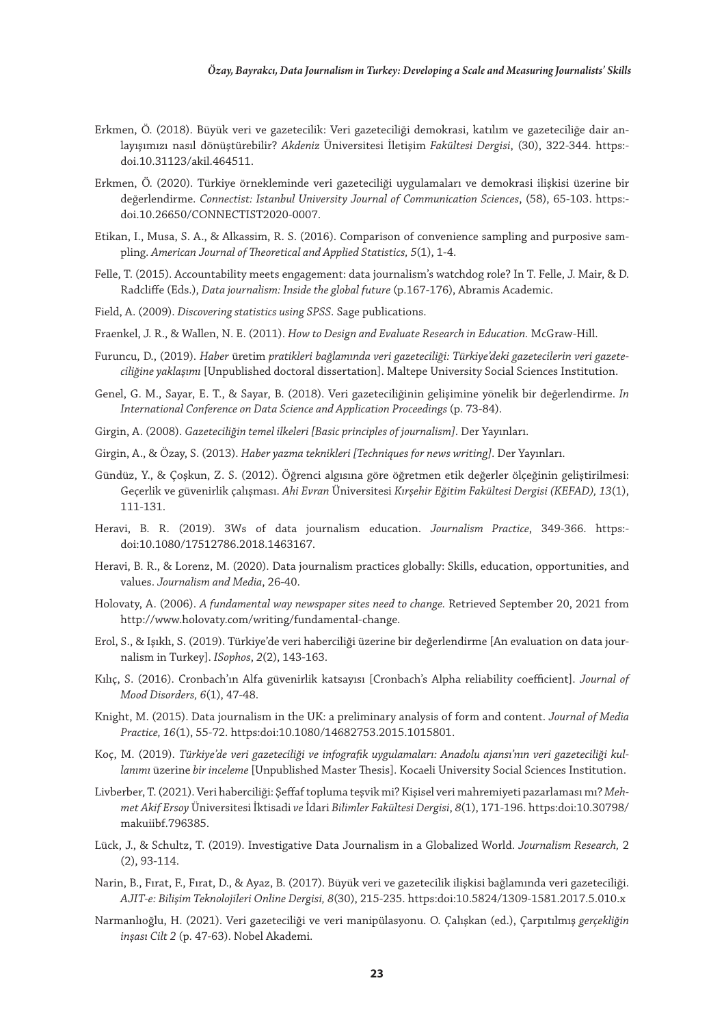- Erkmen, Ö. (2018). Büyük veri ve gazetecilik: Veri gazeteciliği demokrasi, katılım ve gazeteciliğe dair anlayışımızı nasıl dönüştürebilir? *Akdeniz* Üniversitesi İletişim *Fakültesi Dergisi*, (30), 322-344. https: doi.10.31123/akil.464511.
- Erkmen, Ö. (2020). Türkiye örnekleminde veri gazeteciliği uygulamaları ve demokrasi ilişkisi üzerine bir değerlendirme. *Connectist: Istanbul University Journal of Communication Sciences*, (58), 65-103. https: doi.10.26650/CONNECTIST2020-0007.
- Etikan, I., Musa, S. A., & Alkassim, R. S. (2016). Comparison of convenience sampling and purposive sampling. *American Journal of Theoretical and Applied Statistics, 5*(1), 1-4.
- Felle, T. (2015). Accountability meets engagement: data journalism's watchdog role? In T. Felle, J. Mair, & D. Radcliffe (Eds.), *Data journalism: Inside the global future* (p.167-176), Abramis Academic.
- Field, A. (2009). *Discovering statistics using SPSS.* Sage publications.
- Fraenkel, J. R., & Wallen, N. E. (2011). *How to Design and Evaluate Research in Education.* McGraw-Hill.
- Furuncu, D., (2019). *Haber* üretim *pratikleri bağlamında veri gazeteciliği: Türkiye'deki gazetecilerin veri gazeteciliğine yaklaşımı* [Unpublished doctoral dissertation]. Maltepe University Social Sciences Institution.
- Genel, G. M., Sayar, E. T., & Sayar, B. (2018). Veri gazeteciliğinin gelişimine yönelik bir değerlendirme. *In International Conference on Data Science and Application Proceedings* (p. 73-84).
- Girgin, A. (2008). *Gazeteciliğin temel ilkeleri [Basic principles of journalism]*. Der Yayınları.
- Girgin, A., & Özay, S. (2013). *Haber yazma teknikleri [Techniques for news writing]*. Der Yayınları.
- Gündüz, Y., & Çoşkun, Z. S. (2012). Öğrenci algısına göre öğretmen etik değerler ölçeğinin geliştirilmesi: Geçerlik ve güvenirlik çalışması. *Ahi Evran* Üniversitesi *Kırşehir Eğitim Fakültesi Dergisi (KEFAD), 13*(1), 111-131.
- Heravi, B. R. (2019). 3Ws of data journalism education. *Journalism Practice*, 349-366. https: doi:10.1080/17512786.2018.1463167.
- Heravi, B. R., & Lorenz, M. (2020). Data journalism practices globally: Skills, education, opportunities, and values. *Journalism and Media*, 26-40.
- Holovaty, A. (2006). *A fundamental way newspaper sites need to change.* Retrieved September 20, 2021 from http://www.holovaty.com/writing/fundamental-change.
- Erol, S., & Işıklı, S. (2019). Türkiye'de veri haberciliği üzerine bir değerlendirme [An evaluation on data journalism in Turkey]. *ISophos*, *2*(2), 143-163.
- Kılıç, S. (2016). Cronbach'ın Alfa güvenirlik katsayısı [Cronbach's Alpha reliability coefficient]. *Journal of Mood Disorders, 6*(1), 47-48.
- Knight, M. (2015). Data journalism in the UK: a preliminary analysis of form and content. *Journal of Media Practice, 16*(1), 55-72. https:doi:10.1080/14682753.2015.1015801.
- Koç, M. (2019). *Türkiye'de veri gazeteciliği ve infografik uygulamaları: Anadolu ajansı'nın veri gazeteciliği kullanımı* üzerine *bir inceleme* [Unpublished Master Thesis]. Kocaeli University Social Sciences Institution.
- Livberber, T. (2021). Veri haberciliği: Şeffaf topluma teşvik mi? Kişisel veri mahremiyeti pazarlaması mı? *Mehmet Akif Ersoy* Üniversitesi İktisadi *ve* İdari *Bilimler Fakültesi Dergisi*, *8*(1), 171-196. https:doi:10.30798/ makuiibf.796385.
- Lück, J., & Schultz, T. (2019). Investigative Data Journalism in a Globalized World. *Journalism Research,* 2 (2), 93-114.
- Narin, B., Fırat, F., Fırat, D., & Ayaz, B. (2017). Büyük veri ve gazetecilik ilişkisi bağlamında veri gazeteciliği. *AJIT-e: Bilişim Teknolojileri Online Dergisi, 8*(30), 215-235. https:doi:10.5824/1309-1581.2017.5.010.x
- Narmanlıoğlu, H. (2021). Veri gazeteciliği ve veri manipülasyonu. O. Çalışkan (ed.), Çarpıtılmış *gerçekliğin inşası Cilt 2* (p. 47-63). Nobel Akademi.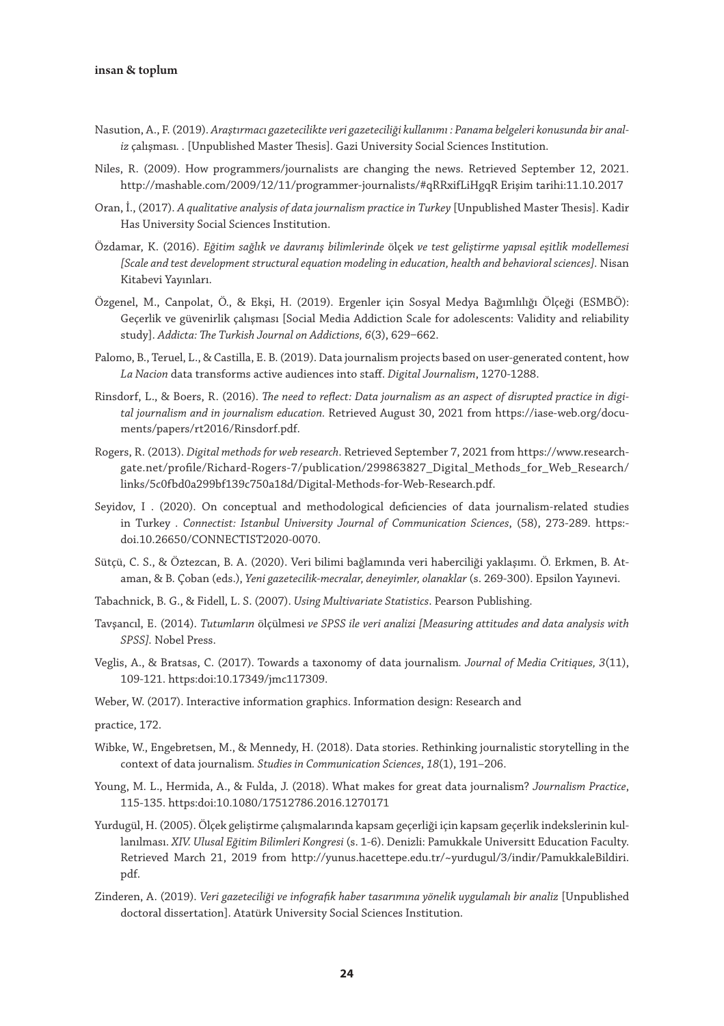- Nasution, A., F. (2019). *Araştırmacı gazetecilikte veri gazeteciliği kullanımı : Panama belgeleri konusunda bir analiz* çalışması*. .* [Unpublished Master Thesis]. Gazi University Social Sciences Institution.
- Niles, R. (2009). How programmers/journalists are changing the news. Retrieved September 12, 2021. http://mashable.com/2009/12/11/programmer-journalists/#qRRxifLiHgqR Erişim tarihi:11.10.2017
- Oran, İ., (2017). *A qualitative analysis of data journalism practice in Turkey* [Unpublished Master Thesis]. Kadir Has University Social Sciences Institution.
- Özdamar, K. (2016). *Eğitim sağlık ve davranış bilimlerinde* ölçek *ve test geliştirme yapısal eşitlik modellemesi [Scale and test development structural equation modeling in education, health and behavioral sciences].* Nisan Kitabevi Yayınları.
- Özgenel, M., Canpolat, Ö., & Ekşi, H. (2019). Ergenler için Sosyal Medya Bağımlılığı Ölçeği (ESMBÖ): Geçerlik ve güvenirlik çalışması [Social Media Addiction Scale for adolescents: Validity and reliability study]. *Addicta: The Turkish Journal on Addictions*, 6(3), 629-662.
- Palomo, B., Teruel, L., & Castilla, E. B. (2019). Data journalism projects based on user-generated content, how *La Nacion* data transforms active audiences into staff. *Digital Journalism*, 1270-1288.
- Rinsdorf, L., & Boers, R. (2016). *The need to reflect: Data journalism as an aspect of disrupted practice in digital journalism and in journalism education.* Retrieved August 30, 2021 from https://iase-web.org/documents/papers/rt2016/Rinsdorf.pdf.
- Rogers, R. (2013). *Digital methods for web research*. Retrieved September 7, 2021 from https://www.researchgate.net/profile/Richard-Rogers-7/publication/299863827\_Digital\_Methods\_for\_Web\_Research/ links/5c0fbd0a299bf139c750a18d/Digital-Methods-for-Web-Research.pdf.
- Seyidov, I . (2020). On conceptual and methodological deficiencies of data journalism-related studies in Turkey *. Connectist: Istanbul University Journal of Communication Sciences*, (58), 273-289. https: doi.10.26650/CONNECTIST2020-0070.
- Sütçü, C. S., & Öztezcan, B. A. (2020). Veri bilimi bağlamında veri haberciliği yaklaşımı. Ö. Erkmen, B. Ataman, & B. Çoban (eds.), *Yeni gazetecilik-mecralar, deneyimler, olanaklar* (s. 269-300). Epsilon Yayınevi.
- Tabachnick, B. G., & Fidell, L. S. (2007). *Using Multivariate Statistics*. Pearson Publishing.
- Tavşancıl, E. (2014). *Tutumların* ölçülmesi *ve SPSS ile veri analizi [Measuring attitudes and data analysis with SPSS].* Nobel Press.
- Veglis, A., & Bratsas, C. (2017). Towards a taxonomy of data journalism*. Journal of Media Critiques, 3*(11), 109-121. https:doi:10.17349/jmc117309.
- Weber, W. (2017). Interactive information graphics. Information design: Research and
- practice, 172.
- Wibke, W., Engebretsen, M., & Mennedy, H. (2018). Data stories. Rethinking journalistic storytelling in the context of data journalism*. Studies in Communication Sciences*, *18*(1), 191–206.
- Young, M. L., Hermida, A., & Fulda, J. (2018). What makes for great data journalism? *Journalism Practice*, 115-135. https:doi:10.1080/17512786.2016.1270171
- Yurdugül, H. (2005). Ölçek geliştirme çalışmalarında kapsam geçerliği için kapsam geçerlik indekslerinin kullanılması. *XIV. Ulusal Eğitim Bilimleri Kongresi* (s. 1-6). Denizli: Pamukkale Universitt Education Faculty. Retrieved March 21, 2019 from http://yunus.hacettepe.edu.tr/~yurdugul/3/indir/PamukkaleBildiri. pdf.
- Zinderen, A. (2019). *Veri gazeteciliği ve infografik haber tasarımına yönelik uygulamalı bir analiz* [Unpublished doctoral dissertation]. Atatürk University Social Sciences Institution.